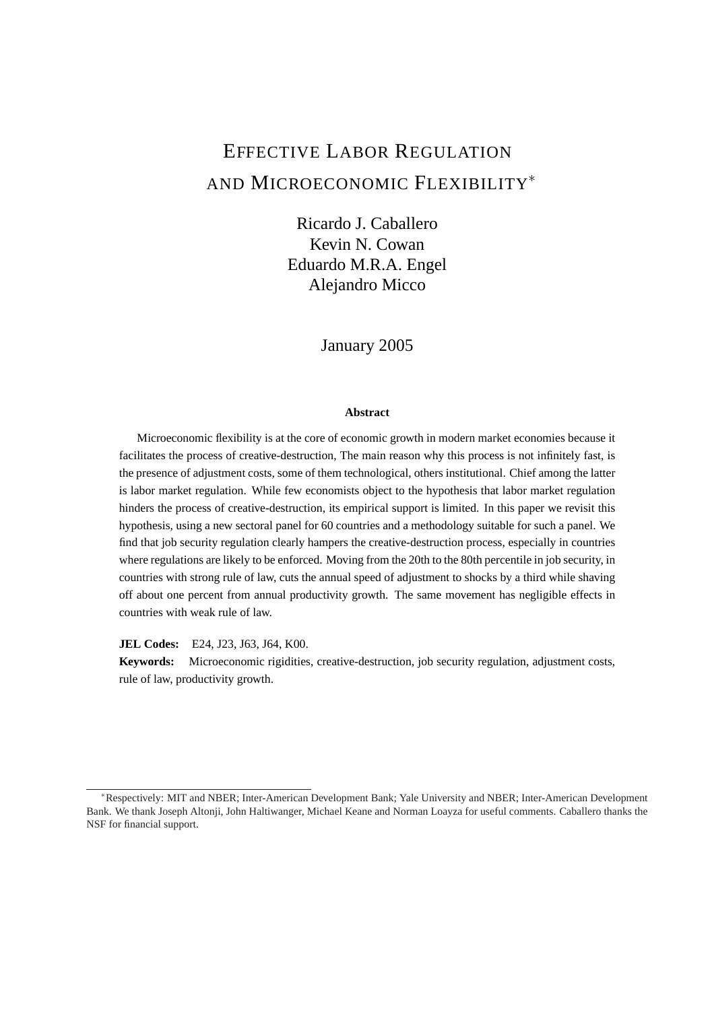# EFFECTIVE LABOR REGULATION AND MICROECONOMIC FLEXIBILITY<sup>\*</sup>

Ricardo J. Caballero Kevin N. Cowan Eduardo M.R.A. Engel Alejandro Micco

### January 2005

### **Abstract**

Microeconomic flexibility is at the core of economic growth in modern market economies because it facilitates the process of creative-destruction, The main reason why this process is not infinitely fast, is the presence of adjustment costs, some of them technological, others institutional. Chief among the latter is labor market regulation. While few economists object to the hypothesis that labor market regulation hinders the process of creative-destruction, its empirical support is limited. In this paper we revisit this hypothesis, using a new sectoral panel for 60 countries and a methodology suitable for such a panel. We find that job security regulation clearly hampers the creative-destruction process, especially in countries where regulations are likely to be enforced. Moving from the 20th to the 80th percentile in job security, in countries with strong rule of law, cuts the annual speed of adjustment to shocks by a third while shaving off about one percent from annual productivity growth. The same movement has negligible effects in countries with weak rule of law.

**JEL Codes:** E24, J23, J63, J64, K00.

**Keywords:** Microeconomic rigidities, creative-destruction, job security regulation, adjustment costs, rule of law, productivity growth.

<sup>∗</sup>Respectively: MIT and NBER; Inter-American Development Bank; Yale University and NBER; Inter-American Development Bank. We thank Joseph Altonji, John Haltiwanger, Michael Keane and Norman Loayza for useful comments. Caballero thanks the NSF for financial support.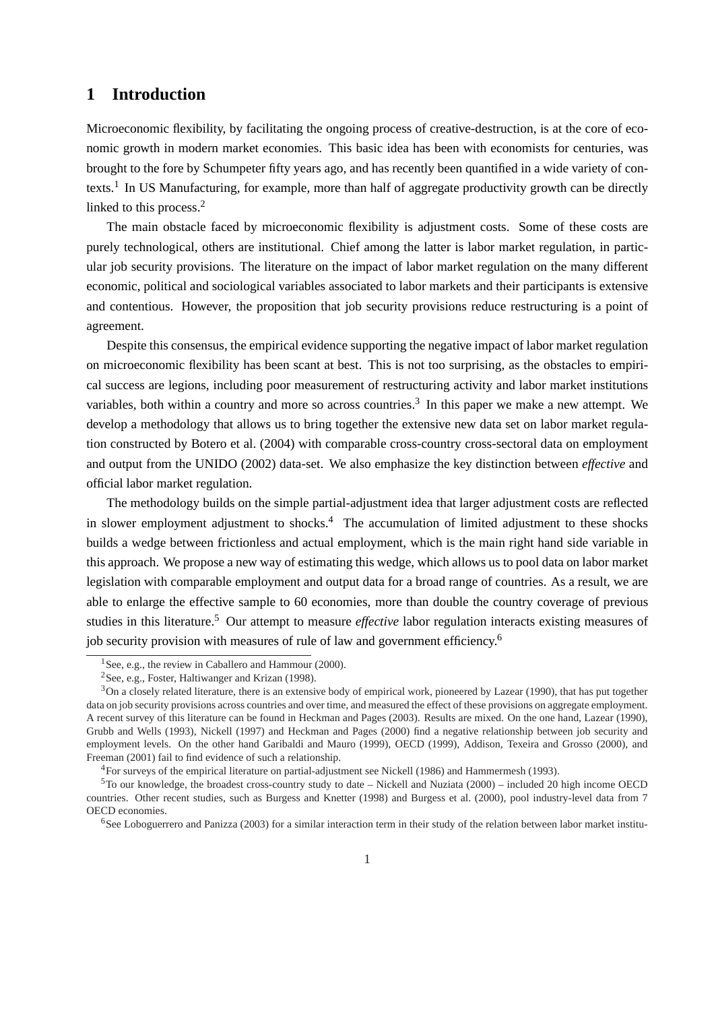# **1 Introduction**

Microeconomic flexibility, by facilitating the ongoing process of creative-destruction, is at the core of economic growth in modern market economies. This basic idea has been with economists for centuries, was brought to the fore by Schumpeter fifty years ago, and has recently been quantified in a wide variety of contexts.<sup>1</sup> In US Manufacturing, for example, more than half of aggregate productivity growth can be directly linked to this process.<sup>2</sup>

The main obstacle faced by microeconomic flexibility is adjustment costs. Some of these costs are purely technological, others are institutional. Chief among the latter is labor market regulation, in particular job security provisions. The literature on the impact of labor market regulation on the many different economic, political and sociological variables associated to labor markets and their participants is extensive and contentious. However, the proposition that job security provisions reduce restructuring is a point of agreement.

Despite this consensus, the empirical evidence supporting the negative impact of labor market regulation on microeconomic flexibility has been scant at best. This is not too surprising, as the obstacles to empirical success are legions, including poor measurement of restructuring activity and labor market institutions variables, both within a country and more so across countries.<sup>3</sup> In this paper we make a new attempt. We develop a methodology that allows us to bring together the extensive new data set on labor market regulation constructed by Botero et al. (2004) with comparable cross-country cross-sectoral data on employment and output from the UNIDO (2002) data-set. We also emphasize the key distinction between *effective* and official labor market regulation.

The methodology builds on the simple partial-adjustment idea that larger adjustment costs are reflected in slower employment adjustment to shocks.<sup>4</sup> The accumulation of limited adjustment to these shocks builds a wedge between frictionless and actual employment, which is the main right hand side variable in this approach. We propose a new way of estimating this wedge, which allows us to pool data on labor market legislation with comparable employment and output data for a broad range of countries. As a result, we are able to enlarge the effective sample to 60 economies, more than double the country coverage of previous studies in this literature.<sup>5</sup> Our attempt to measure *effective* labor regulation interacts existing measures of job security provision with measures of rule of law and government efficiency.<sup>6</sup>

<sup>&</sup>lt;sup>1</sup>See, e.g., the review in Caballero and Hammour (2000).

<sup>2</sup>See, e.g., Foster, Haltiwanger and Krizan (1998).

 $3$ On a closely related literature, there is an extensive body of empirical work, pioneered by Lazear (1990), that has put together data on job security provisions across countries and over time, and measured the effect of these provisions on aggregate employment. A recent survey of this literature can be found in Heckman and Pages (2003). Results are mixed. On the one hand, Lazear (1990), Grubb and Wells (1993), Nickell (1997) and Heckman and Pages (2000) find a negative relationship between job security and employment levels. On the other hand Garibaldi and Mauro (1999), OECD (1999), Addison, Texeira and Grosso (2000), and Freeman (2001) fail to find evidence of such a relationship.

<sup>4</sup>For surveys of the empirical literature on partial-adjustment see Nickell (1986) and Hammermesh (1993).

 ${}^{5}$ To our knowledge, the broadest cross-country study to date – Nickell and Nuziata (2000) – included 20 high income OECD countries. Other recent studies, such as Burgess and Knetter (1998) and Burgess et al. (2000), pool industry-level data from 7 OECD economies.

 $6$ See Loboguerrero and Panizza (2003) for a similar interaction term in their study of the relation between labor market institu-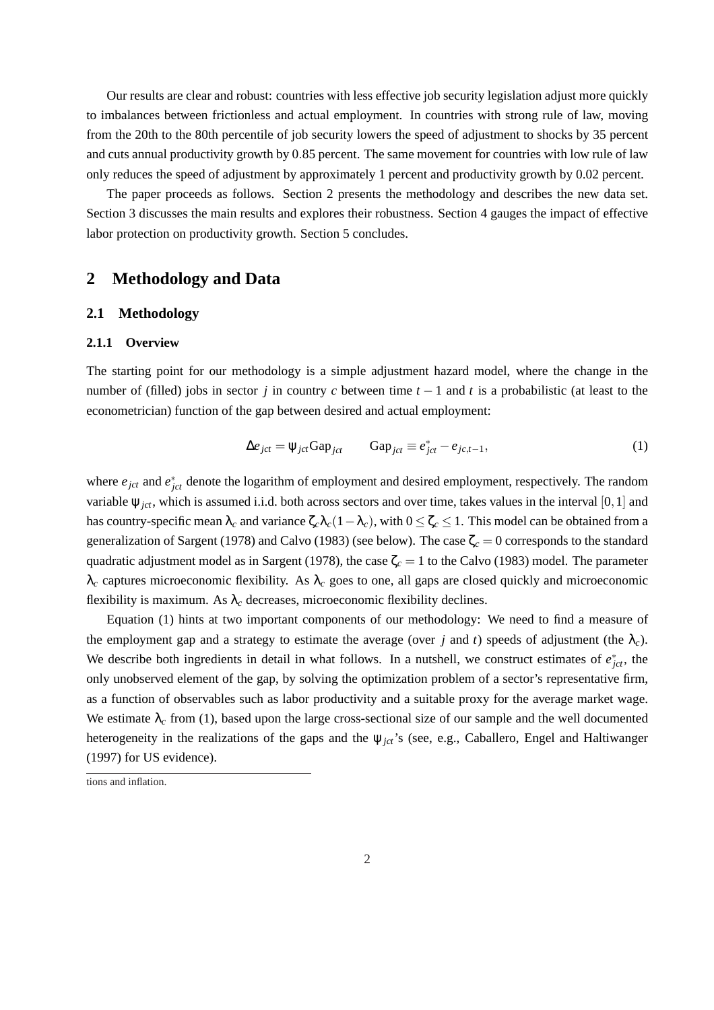Our results are clear and robust: countries with less effective job security legislation adjust more quickly to imbalances between frictionless and actual employment. In countries with strong rule of law, moving from the 20th to the 80th percentile of job security lowers the speed of adjustment to shocks by 35 percent and cuts annual productivity growth by 0.85 percent. The same movement for countries with low rule of law only reduces the speed of adjustment by approximately 1 percent and productivity growth by 0.02 percent.

The paper proceeds as follows. Section 2 presents the methodology and describes the new data set. Section 3 discusses the main results and explores their robustness. Section 4 gauges the impact of effective labor protection on productivity growth. Section 5 concludes.

## **2 Methodology and Data**

### **2.1 Methodology**

#### **2.1.1 Overview**

The starting point for our methodology is a simple adjustment hazard model, where the change in the number of (filled) jobs in sector *j* in country *c* between time  $t - 1$  and *t* is a probabilistic (at least to the econometrician) function of the gap between desired and actual employment:

$$
\Delta e_{jct} = \psi_{jct} \text{Gap}_{jct} \qquad \text{Gap}_{jct} \equiv e_{jct}^* - e_{jc,t-1}, \tag{1}
$$

where  $e_{jct}$  and  $e_{jct}^*$  denote the logarithm of employment and desired employment, respectively. The random variable  $\psi_{ict}$ , which is assumed i.i.d. both across sectors and over time, takes values in the interval [0, 1] and has country-specific mean  $\lambda_c$  and variance  $\zeta_c \lambda_c (1-\lambda_c)$ , with  $0 \leq \zeta_c \leq 1$ . This model can be obtained from a generalization of Sargent (1978) and Calvo (1983) (see below). The case  $\zeta_c = 0$  corresponds to the standard quadratic adjustment model as in Sargent (1978), the case  $\zeta_c = 1$  to the Calvo (1983) model. The parameter  $\lambda_c$  captures microeconomic flexibility. As  $\lambda_c$  goes to one, all gaps are closed quickly and microeconomic flexibility is maximum. As  $\lambda_c$  decreases, microeconomic flexibility declines.

Equation (1) hints at two important components of our methodology: We need to find a measure of the employment gap and a strategy to estimate the average (over *j* and *t*) speeds of adjustment (the  $\lambda_c$ ). We describe both ingredients in detail in what follows. In a nutshell, we construct estimates of  $e_{jct}^*$ , the only unobserved element of the gap, by solving the optimization problem of a sector's representative firm, as a function of observables such as labor productivity and a suitable proxy for the average market wage. We estimate  $\lambda_c$  from (1), based upon the large cross-sectional size of our sample and the well documented heterogeneity in the realizations of the gaps and the ψ*jct*'s (see, e.g., Caballero, Engel and Haltiwanger (1997) for US evidence).

tions and inflation.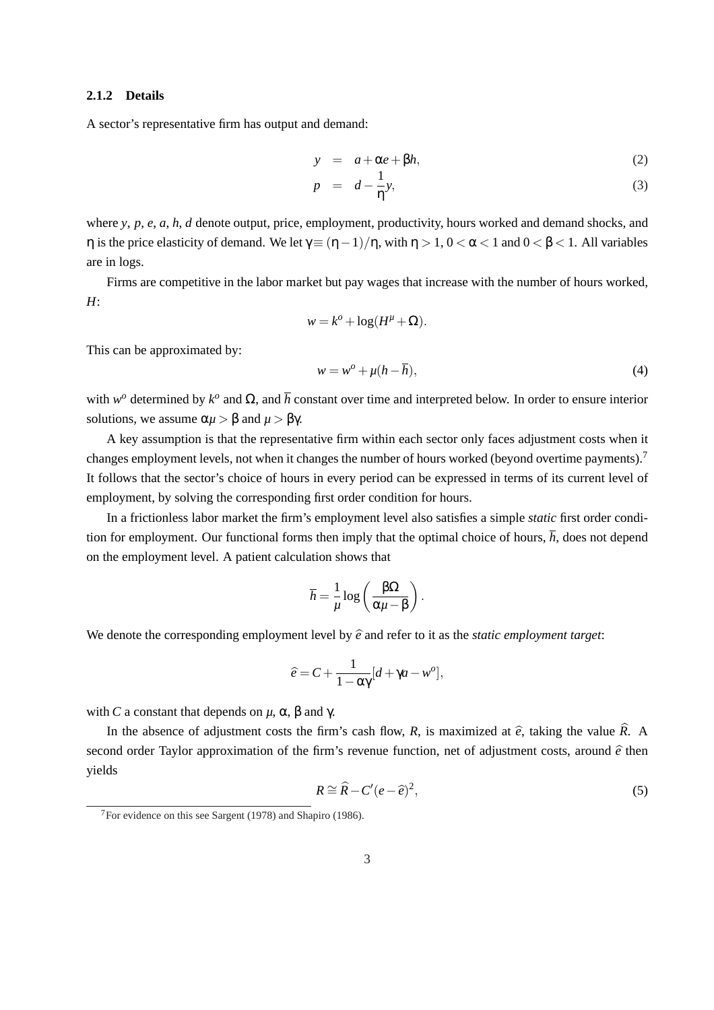### **2.1.2 Details**

A sector's representative firm has output and demand:

$$
y = a + \alpha e + \beta h,\tag{2}
$$

$$
p = d - \frac{1}{\eta} y,\tag{3}
$$

where *y*, *p*, *e*, *a*, *h*, *d* denote output, price, employment, productivity, hours worked and demand shocks, and η is the price elasticity of demand. We let  $γ ≡ (η −1)/η$ , with  $η > 1$ ,  $0 < α < 1$  and  $0 < β < 1$ . All variables are in logs.

Firms are competitive in the labor market but pay wages that increase with the number of hours worked, *H*:

$$
w = k^o + \log(H^{\mu} + \Omega).
$$

This can be approximated by:

$$
w = w^o + \mu(h - \overline{h}),\tag{4}
$$

with  $w^o$  determined by  $k^o$  and  $\Omega$ , and  $\overline{h}$  constant over time and interpreted below. In order to ensure interior solutions, we assume  $\alpha \mu > \beta$  and  $\mu > \beta \gamma$ .

A key assumption is that the representative firm within each sector only faces adjustment costs when it changes employment levels, not when it changes the number of hours worked (beyond overtime payments).<sup>7</sup> It follows that the sector's choice of hours in every period can be expressed in terms of its current level of employment, by solving the corresponding first order condition for hours.

In a frictionless labor market the firm's employment level also satisfies a simple *static* first order condition for employment. Our functional forms then imply that the optimal choice of hours,  $\bar{h}$ , does not depend on the employment level. A patient calculation shows that

$$
\bar{h} = \frac{1}{\mu} \log \left( \frac{\beta \Omega}{\alpha \mu - \beta} \right).
$$

We denote the corresponding employment level by  $\hat{e}$  and refer to it as the *static employment target*:

$$
\hat{e} = C + \frac{1}{1 - \alpha \gamma} [d + \gamma a - w^o],
$$

with *C* a constant that depends on  $\mu$ , α, β and γ.

In the absence of adjustment costs the firm's cash flow, *R*, is maximized at  $\hat{e}$ , taking the value  $\hat{R}$ . A second order Taylor approximation of the firm's revenue function, net of adjustment costs, around  $\hat{e}$  then yields

$$
R \cong \widehat{R} - C'(e - \widehat{e})^2,\tag{5}
$$

 $7$ For evidence on this see Sargent (1978) and Shapiro (1986).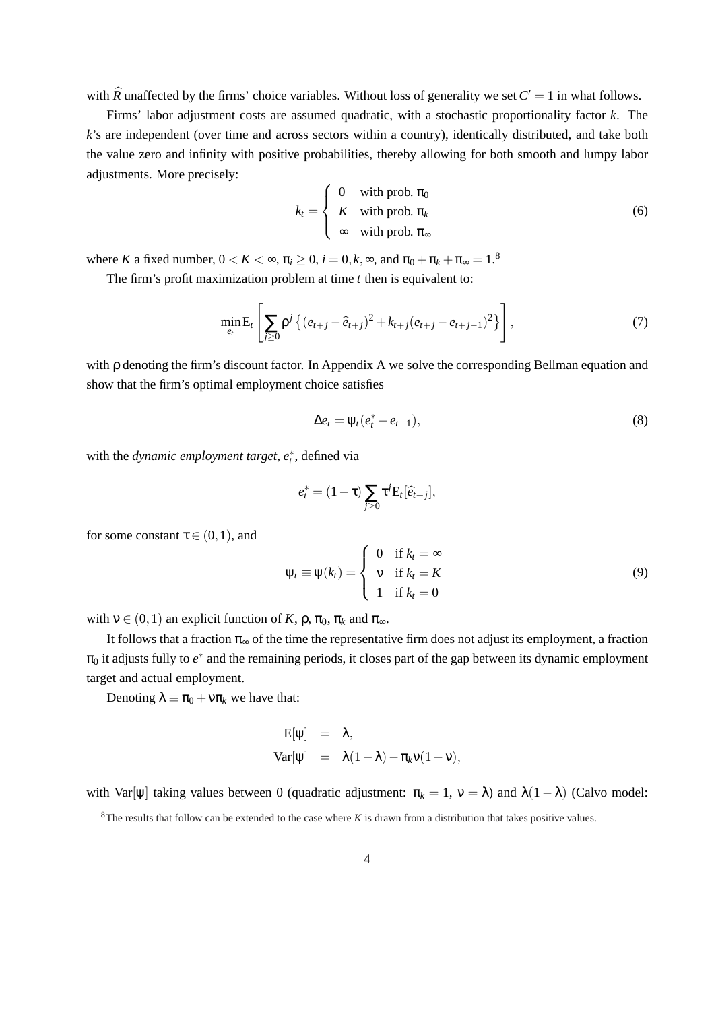with  $\widehat{R}$  unaffected by the firms' choice variables. Without loss of generality we set  $C' = 1$  in what follows.

Firms' labor adjustment costs are assumed quadratic, with a stochastic proportionality factor *k*. The *k*'s are independent (over time and across sectors within a country), identically distributed, and take both the value zero and infinity with positive probabilities, thereby allowing for both smooth and lumpy labor adjustments. More precisely:  $\overline{a}$ 

$$
k_t = \begin{cases} 0 & \text{with prob. } \pi_0 \\ K & \text{with prob. } \pi_k \\ \infty & \text{with prob. } \pi_\infty \end{cases} \tag{6}
$$

where *K* a fixed number,  $0 < K < \infty$ ,  $\pi_i \geq 0$ ,  $i = 0, k, \infty$ , and  $\pi_0 + \pi_k + \pi_\infty = 1.8$ 

The firm's profit maximization problem at time *t* then is equivalent to:

$$
\min_{e_t} \mathbf{E}_t \left[ \sum_{j\geq 0} \rho^j \left\{ (e_{t+j} - \widehat{e}_{t+j})^2 + k_{t+j} (e_{t+j} - e_{t+j-1})^2 \right\} \right],\tag{7}
$$

with ρ denoting the firm's discount factor. In Appendix A we solve the corresponding Bellman equation and show that the firm's optimal employment choice satisfies

$$
\Delta e_t = \psi_t (e_t^* - e_{t-1}), \tag{8}
$$

with the *dynamic employment target*,  $e_t^*$ , defined via

$$
e_t^* = (1 - \tau) \sum_{j \geq 0} \tau^j \mathbf{E}_t [\widehat{e}_{t+j}],
$$

for some constant  $\tau \in (0,1)$ , and

$$
\Psi_t \equiv \Psi(k_t) = \begin{cases} 0 & \text{if } k_t = \infty \\ v & \text{if } k_t = K \\ 1 & \text{if } k_t = 0 \end{cases}
$$
 (9)

with  $v \in (0,1)$  an explicit function of *K*,  $\rho$ ,  $\pi_0$ ,  $\pi_k$  and  $\pi_{\infty}$ .

It follows that a fraction  $\pi_{\infty}$  of the time the representative firm does not adjust its employment, a fraction  $\pi_0$  it adjusts fully to  $e^*$  and the remaining periods, it closes part of the gap between its dynamic employment target and actual employment.

Denoting  $\lambda \equiv \pi_0 + v \pi_k$  we have that:

$$
E[\psi] = \lambda,
$$
  
Var[\psi] =  $\lambda(1-\lambda) - \pi_k v(1-v),$ 

with Var[ $\psi$ ] taking values between 0 (quadratic adjustment:  $\pi_k = 1$ ,  $\nu = \lambda$ ) and  $\lambda(1 - \lambda)$  (Calvo model:

<sup>8</sup>The results that follow can be extended to the case where *K* is drawn from a distribution that takes positive values.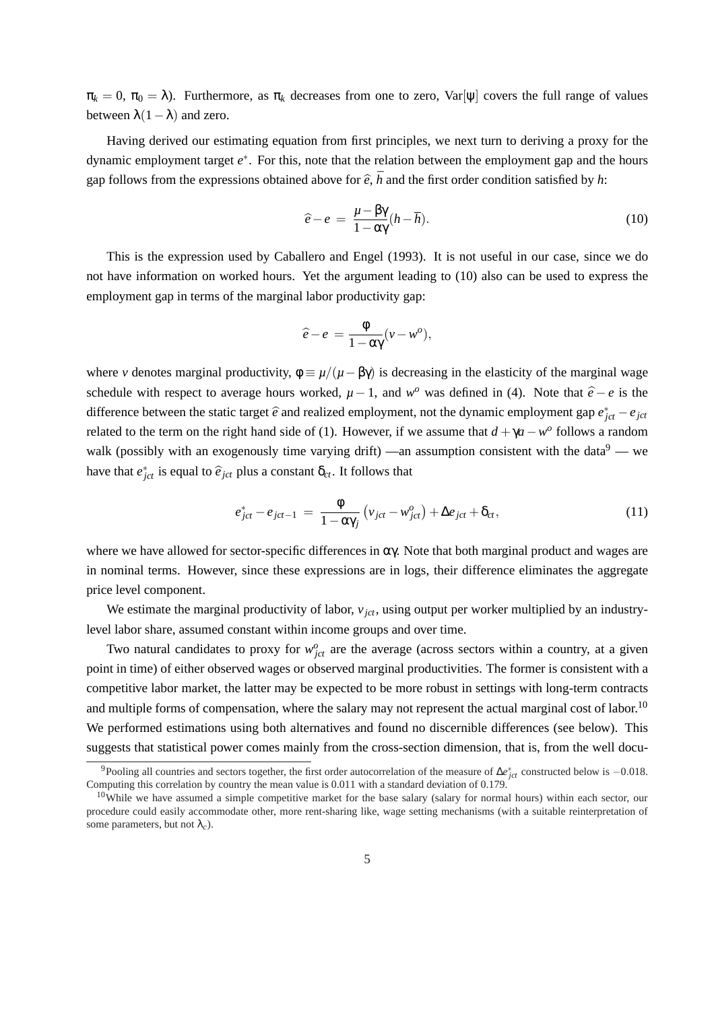$\pi_k = 0$ ,  $\pi_0 = \lambda$ ). Furthermore, as  $\pi_k$  decreases from one to zero, Var[ $\psi$ ] covers the full range of values between  $\lambda(1-\lambda)$  and zero.

Having derived our estimating equation from first principles, we next turn to deriving a proxy for the dynamic employment target *e* ∗ . For this, note that the relation between the employment gap and the hours gap follows from the expressions obtained above for  $\hat{e}$ ,  $\bar{h}$  and the first order condition satisfied by *h*:

$$
\hat{e} - e = \frac{\mu - \beta \gamma}{1 - \alpha \gamma} (h - \overline{h}). \tag{10}
$$

This is the expression used by Caballero and Engel (1993). It is not useful in our case, since we do not have information on worked hours. Yet the argument leading to (10) also can be used to express the employment gap in terms of the marginal labor productivity gap:

$$
\widehat{e}-e = \frac{\Phi}{1-\alpha\gamma}(v-w^o),
$$

where *v* denotes marginal productivity,  $\phi = \mu/(\mu - \beta \gamma)$  is decreasing in the elasticity of the marginal wage schedule with respect to average hours worked,  $\mu - 1$ , and  $w^o$  was defined in (4). Note that  $\hat{e} - e$  is the difference between the static target  $\hat{e}$  and realized employment, not the dynamic employment gap  $e_{jet}^* - e_{jet}$ related to the term on the right hand side of (1). However, if we assume that  $d + \gamma a - w^{\circ}$  follows a random walk (possibly with an exogenously time varying drift) —an assumption consistent with the data<sup>9</sup> — we have that  $e_{jct}^*$  is equal to  $\hat{e}_{jct}$  plus a constant  $\delta_{ct}$ . It follows that

$$
e_{jct}^* - e_{jct-1} = \frac{\phi}{1 - \alpha \gamma_j} \left( v_{jct} - w_{jct}^o \right) + \Delta e_{jct} + \delta_{ct}, \qquad (11)
$$

where we have allowed for sector-specific differences in  $\alpha\gamma$ . Note that both marginal product and wages are in nominal terms. However, since these expressions are in logs, their difference eliminates the aggregate price level component.

We estimate the marginal productivity of labor,  $v_{ict}$ , using output per worker multiplied by an industrylevel labor share, assumed constant within income groups and over time.

Two natural candidates to proxy for  $w_{jet}^o$  are the average (across sectors within a country, at a given point in time) of either observed wages or observed marginal productivities. The former is consistent with a competitive labor market, the latter may be expected to be more robust in settings with long-term contracts and multiple forms of compensation, where the salary may not represent the actual marginal cost of labor.<sup>10</sup> We performed estimations using both alternatives and found no discernible differences (see below). This suggests that statistical power comes mainly from the cross-section dimension, that is, from the well docu-

<sup>&</sup>lt;sup>9</sup>Pooling all countries and sectors together, the first order autocorrelation of the measure of  $\Delta e_{jct}^*$  constructed below is  $-0.018$ . Computing this correlation by country the mean value is 0.011 with a standard deviation of 0.179.

 $10$ While we have assumed a simple competitive market for the base salary (salary for normal hours) within each sector, our procedure could easily accommodate other, more rent-sharing like, wage setting mechanisms (with a suitable reinterpretation of some parameters, but not  $\lambda_c$ ).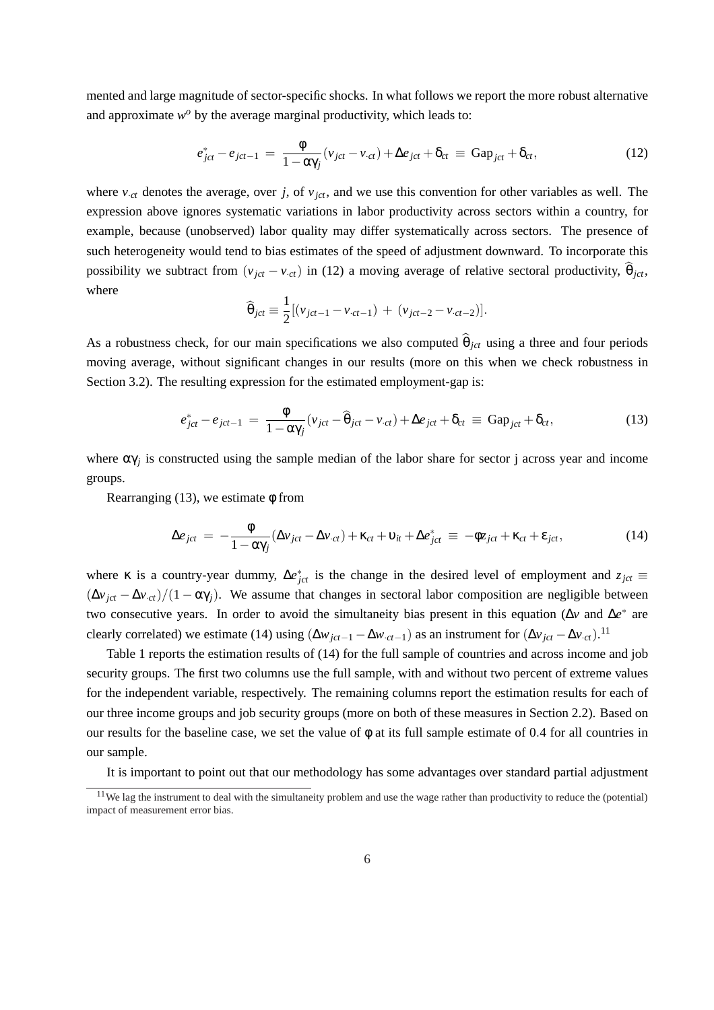mented and large magnitude of sector-specific shocks. In what follows we report the more robust alternative and approximate  $w^o$  by the average marginal productivity, which leads to:

$$
e_{jct}^* - e_{jct-1} = \frac{\phi}{1 - \alpha \gamma_j} (v_{jct} - v_{\cdot ct}) + \Delta e_{jct} + \delta_{ct} \equiv \text{Gap}_{jct} + \delta_{ct}, \qquad (12)
$$

where  $v_{\text{c}t}$  denotes the average, over *j*, of  $v_{\text{ict}}$ , and we use this convention for other variables as well. The expression above ignores systematic variations in labor productivity across sectors within a country, for example, because (unobserved) labor quality may differ systematically across sectors. The presence of such heterogeneity would tend to bias estimates of the speed of adjustment downward. To incorporate this possibility we subtract from  $(v_{jet} - v_{ct})$  in (12) a moving average of relative sectoral productivity,  $\hat{\theta}_{jet}$ , where

$$
\widehat{\theta}_{jct} \equiv \frac{1}{2} [(v_{jct-1} - v_{ct-1}) + (v_{jct-2} - v_{ct-2})].
$$

As a robustness check, for our main specifications we also computed  $\hat{\theta}_{ict}$  using a three and four periods moving average, without significant changes in our results (more on this when we check robustness in Section 3.2). The resulting expression for the estimated employment-gap is:

$$
e_{jct}^* - e_{jct-1} = \frac{\phi}{1 - \alpha \gamma_j} (v_{jct} - \widehat{\theta}_{jct} - v_{\cdot ct}) + \Delta e_{jct} + \delta_{ct} \equiv \text{Gap}_{jct} + \delta_{ct}, \qquad (13)
$$

where  $\alpha\gamma_j$  is constructed using the sample median of the labor share for sector j across year and income groups.

Rearranging  $(13)$ , we estimate  $\phi$  from

$$
\Delta e_{ict} = -\frac{\phi}{1 - \alpha \gamma_j} (\Delta v_{ict} - \Delta v_{ct}) + \kappa_{ct} + \upsilon_{it} + \Delta e_{ict}^* \equiv -\phi z_{ict} + \kappa_{ct} + \varepsilon_{ict}, \qquad (14)
$$

where  $\kappa$  is a country-year dummy,  $\Delta e_{jct}^*$  is the change in the desired level of employment and  $z_{jct}$  $(\Delta v_{jet} - \Delta v_{ct})/(1 - \alpha \gamma_j)$ . We assume that changes in sectoral labor composition are negligible between two consecutive years. In order to avoid the simultaneity bias present in this equation (Δ*v* and Δ*e*<sup>\*</sup> are clearly correlated) we estimate (14) using  $(\Delta w_{jet-1} - \Delta w_{\cdot ct-1})$  as an instrument for  $(\Delta v_{jet} - \Delta v_{\cdot ct})$ .<sup>11</sup>

Table 1 reports the estimation results of (14) for the full sample of countries and across income and job security groups. The first two columns use the full sample, with and without two percent of extreme values for the independent variable, respectively. The remaining columns report the estimation results for each of our three income groups and job security groups (more on both of these measures in Section 2.2). Based on our results for the baseline case, we set the value of φ at its full sample estimate of 0.4 for all countries in our sample.

It is important to point out that our methodology has some advantages over standard partial adjustment

 $11$ We lag the instrument to deal with the simultaneity problem and use the wage rather than productivity to reduce the (potential) impact of measurement error bias.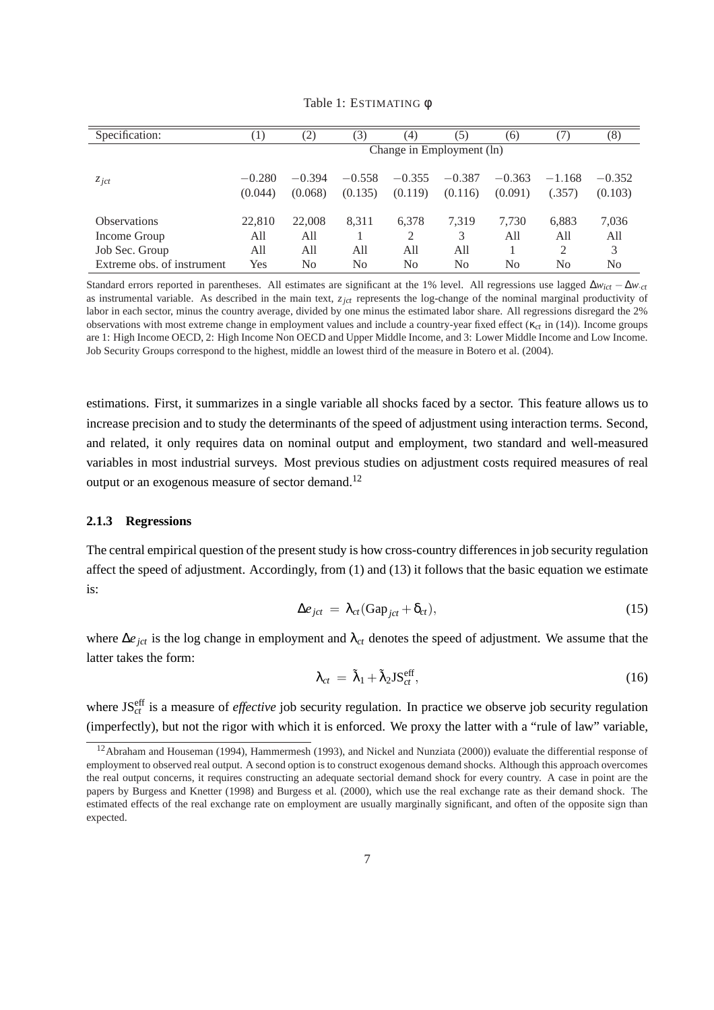| Specification:             | $\left(1\right)$    | (2)                       | (3)                 | (4)                 | (5)                 | (6)                 | 7)                 | (8)                 |
|----------------------------|---------------------|---------------------------|---------------------|---------------------|---------------------|---------------------|--------------------|---------------------|
|                            |                     | Change in Employment (ln) |                     |                     |                     |                     |                    |                     |
| $z_{\textit{jct}}$         | $-0.280$<br>(0.044) | $-0.394$<br>(0.068)       | $-0.558$<br>(0.135) | $-0.355$<br>(0.119) | $-0.387$<br>(0.116) | $-0.363$<br>(0.091) | $-1.168$<br>(.357) | $-0.352$<br>(0.103) |
| <i><b>Observations</b></i> | 22,810              | 22,008                    | 8,311               | 6,378               | 7,319               | 7.730               | 6,883              | 7,036               |
| Income Group               | All                 | All                       |                     | 2                   | 3                   | All                 | All                | All                 |
| Job Sec. Group             | All                 | All                       | A11                 | All                 | All                 |                     | 2                  | 3                   |
| Extreme obs. of instrument | Yes                 | No                        | N <sub>0</sub>      | N <sub>0</sub>      | No                  | N <sub>0</sub>      | N <sub>0</sub>     | N <sub>0</sub>      |

Table 1: ESTIMATING φ

Standard errors reported in parentheses. All estimates are significant at the 1% level. All regressions use lagged ∆*wict* − ∆*w*·*ct* as instrumental variable. As described in the main text, *zjct* represents the log-change of the nominal marginal productivity of labor in each sector, minus the country average, divided by one minus the estimated labor share. All regressions disregard the 2% observations with most extreme change in employment values and include a country-year fixed effect (κ*ct* in (14)). Income groups are 1: High Income OECD, 2: High Income Non OECD and Upper Middle Income, and 3: Lower Middle Income and Low Income. Job Security Groups correspond to the highest, middle an lowest third of the measure in Botero et al. (2004).

estimations. First, it summarizes in a single variable all shocks faced by a sector. This feature allows us to increase precision and to study the determinants of the speed of adjustment using interaction terms. Second, and related, it only requires data on nominal output and employment, two standard and well-measured variables in most industrial surveys. Most previous studies on adjustment costs required measures of real output or an exogenous measure of sector demand.<sup>12</sup>

### **2.1.3 Regressions**

The central empirical question of the present study is how cross-country differences in job security regulation affect the speed of adjustment. Accordingly, from (1) and (13) it follows that the basic equation we estimate is:

$$
\Delta e_{jct} = \lambda_{ct} (\text{Gap}_{jct} + \delta_{ct}), \qquad (15)
$$

where ∆*ejct* is the log change in employment and λ*ct* denotes the speed of adjustment. We assume that the latter takes the form:

$$
\lambda_{ct} = \tilde{\lambda}_1 + \tilde{\lambda}_2 \mathbf{J} \mathbf{S}_{ct}^{\text{eff}},\tag{16}
$$

where JS<sup>eff</sup> is a measure of *effective* job security regulation. In practice we observe job security regulation (imperfectly), but not the rigor with which it is enforced. We proxy the latter with a "rule of law" variable,

<sup>&</sup>lt;sup>12</sup> Abraham and Houseman (1994), Hammermesh (1993), and Nickel and Nunziata (2000)) evaluate the differential response of employment to observed real output. A second option is to construct exogenous demand shocks. Although this approach overcomes the real output concerns, it requires constructing an adequate sectorial demand shock for every country. A case in point are the papers by Burgess and Knetter (1998) and Burgess et al. (2000), which use the real exchange rate as their demand shock. The estimated effects of the real exchange rate on employment are usually marginally significant, and often of the opposite sign than expected.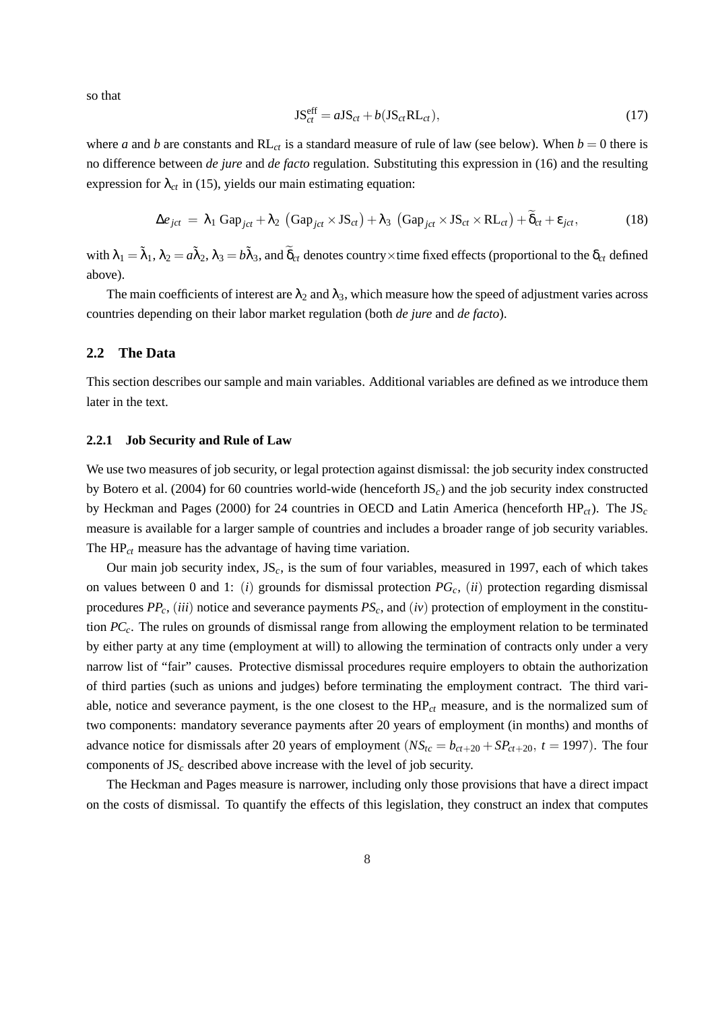so that

$$
JS_{ct}^{\text{eff}} = aJS_{ct} + b(JS_{ct}RL_{ct}), \qquad (17)
$$

where *a* and *b* are constants and  $RL<sub>ct</sub>$  is a standard measure of rule of law (see below). When  $b = 0$  there is no difference between *de jure* and *de facto* regulation. Substituting this expression in (16) and the resulting expression for  $\lambda_{ct}$  in (15), yields our main estimating equation:

$$
\Delta e_{ict} = \lambda_1 \text{ Gap}_{ict} + \lambda_2 \text{ (Gap}_{ict} \times \text{JS}_{ct}) + \lambda_3 \text{ (Gap}_{ict} \times \text{JS}_{ct} \times \text{RL}_{ct}) + \widetilde{\delta}_{ct} + \varepsilon_{ict},
$$
 (18)

with  $\lambda_1=\tilde\lambda_1$ ,  $\lambda_2=a\tilde\lambda_2$ ,  $\lambda_3=b\tilde\lambda_3$ , and  $\widetilde\delta_{ct}$  denotes country×time fixed effects (proportional to the  $\delta_{ct}$  defined above).

The main coefficients of interest are  $\lambda_2$  and  $\lambda_3$ , which measure how the speed of adjustment varies across countries depending on their labor market regulation (both *de jure* and *de facto*).

#### **2.2 The Data**

This section describes our sample and main variables. Additional variables are defined as we introduce them later in the text.

### **2.2.1 Job Security and Rule of Law**

We use two measures of job security, or legal protection against dismissal: the job security index constructed by Botero et al. (2004) for 60 countries world-wide (henceforth JS*c*) and the job security index constructed by Heckman and Pages (2000) for 24 countries in OECD and Latin America (henceforth HP*ct*). The JS*<sup>c</sup>* measure is available for a larger sample of countries and includes a broader range of job security variables. The HP*ct* measure has the advantage of having time variation.

Our main job security index, JS*c*, is the sum of four variables, measured in 1997, each of which takes on values between 0 and 1: (*i*) grounds for dismissal protection *PGc*, (*ii*) protection regarding dismissal procedures *PPc*, (*iii*) notice and severance payments *PSc*, and (*iv*) protection of employment in the constitution *PCc*. The rules on grounds of dismissal range from allowing the employment relation to be terminated by either party at any time (employment at will) to allowing the termination of contracts only under a very narrow list of "fair" causes. Protective dismissal procedures require employers to obtain the authorization of third parties (such as unions and judges) before terminating the employment contract. The third variable, notice and severance payment, is the one closest to the  $HP<sub>ct</sub>$  measure, and is the normalized sum of two components: mandatory severance payments after 20 years of employment (in months) and months of advance notice for dismissals after 20 years of employment ( $NS<sub>tc</sub> = b<sub>ct+20</sub> + SP<sub>ct+20</sub>$ ,  $t = 1997$ ). The four components of JS*<sup>c</sup>* described above increase with the level of job security.

The Heckman and Pages measure is narrower, including only those provisions that have a direct impact on the costs of dismissal. To quantify the effects of this legislation, they construct an index that computes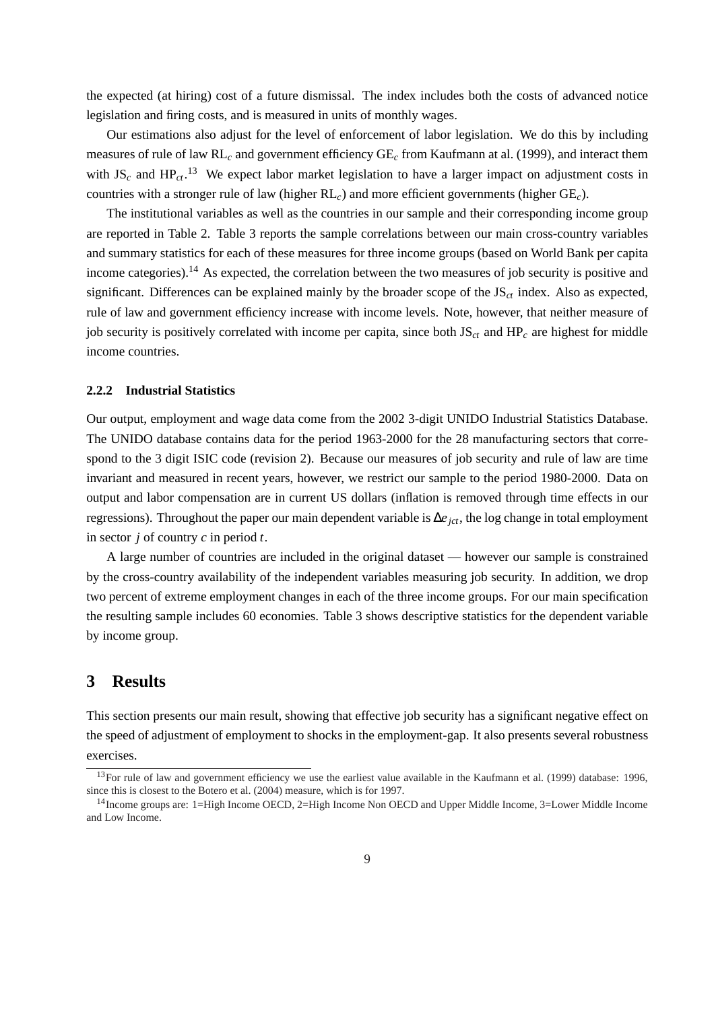the expected (at hiring) cost of a future dismissal. The index includes both the costs of advanced notice legislation and firing costs, and is measured in units of monthly wages.

Our estimations also adjust for the level of enforcement of labor legislation. We do this by including measures of rule of law RL*<sup>c</sup>* and government efficiency GE*<sup>c</sup>* from Kaufmann at al. (1999), and interact them with  $JS_c$  and  $HP_{ct}$ .<sup>13</sup> We expect labor market legislation to have a larger impact on adjustment costs in countries with a stronger rule of law (higher RL*c*) and more efficient governments (higher GE*c*).

The institutional variables as well as the countries in our sample and their corresponding income group are reported in Table 2. Table 3 reports the sample correlations between our main cross-country variables and summary statistics for each of these measures for three income groups (based on World Bank per capita income categories).<sup>14</sup> As expected, the correlation between the two measures of job security is positive and significant. Differences can be explained mainly by the broader scope of the JS*ct* index. Also as expected, rule of law and government efficiency increase with income levels. Note, however, that neither measure of job security is positively correlated with income per capita, since both JS*ct* and HP*<sup>c</sup>* are highest for middle income countries.

### **2.2.2 Industrial Statistics**

Our output, employment and wage data come from the 2002 3-digit UNIDO Industrial Statistics Database. The UNIDO database contains data for the period 1963-2000 for the 28 manufacturing sectors that correspond to the 3 digit ISIC code (revision 2). Because our measures of job security and rule of law are time invariant and measured in recent years, however, we restrict our sample to the period 1980-2000. Data on output and labor compensation are in current US dollars (inflation is removed through time effects in our regressions). Throughout the paper our main dependent variable is ∆*ejct*, the log change in total employment in sector *j* of country *c* in period *t*.

A large number of countries are included in the original dataset — however our sample is constrained by the cross-country availability of the independent variables measuring job security. In addition, we drop two percent of extreme employment changes in each of the three income groups. For our main specification the resulting sample includes 60 economies. Table 3 shows descriptive statistics for the dependent variable by income group.

# **3 Results**

This section presents our main result, showing that effective job security has a significant negative effect on the speed of adjustment of employment to shocks in the employment-gap. It also presents several robustness exercises.

<sup>&</sup>lt;sup>13</sup>For rule of law and government efficiency we use the earliest value available in the Kaufmann et al. (1999) database: 1996, since this is closest to the Botero et al. (2004) measure, which is for 1997.

<sup>14</sup>Income groups are: 1=High Income OECD, 2=High Income Non OECD and Upper Middle Income, 3=Lower Middle Income and Low Income.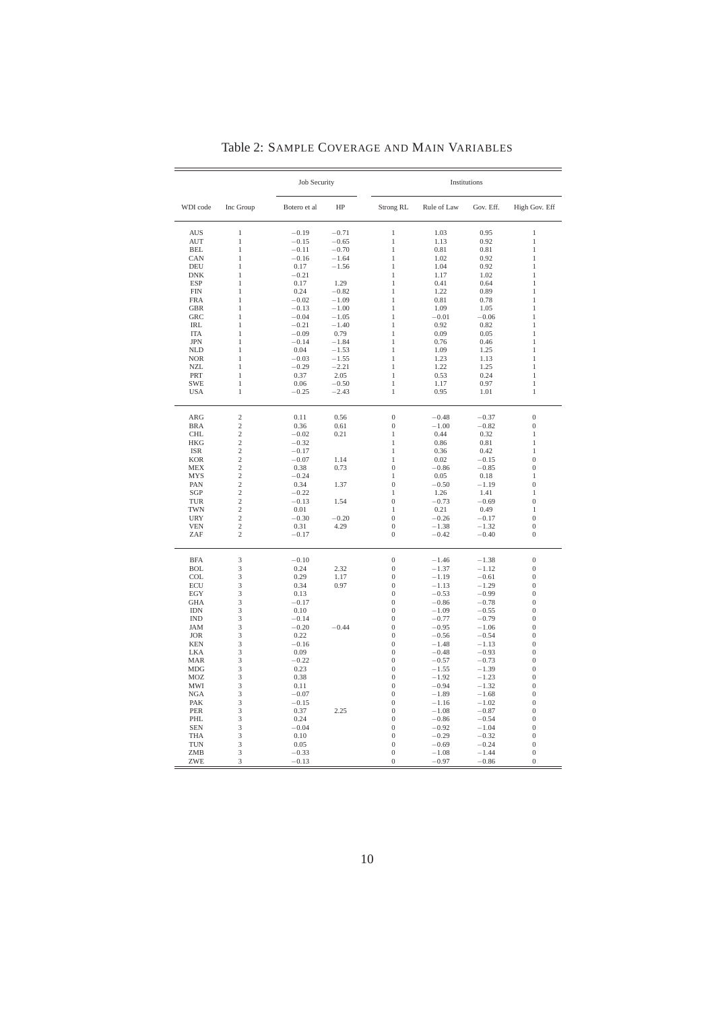|                             |                                  | <b>Job Security</b> |                    |                                |                    | Institutions       |                                    |
|-----------------------------|----------------------------------|---------------------|--------------------|--------------------------------|--------------------|--------------------|------------------------------------|
| WDI code                    | Inc Group                        | Botero et al        | HP                 | Strong RL                      | Rule of Law        | Gov. Eff.          | High Gov. Eff                      |
| <b>AUS</b>                  | $\,1\,$                          | $-0.19$             | $-0.71$            | $\,1$                          | 1.03               | 0.95               | $\,1$                              |
| <b>AUT</b>                  | $\,1$                            | $-0.15$             | $-0.65$            | $\mathbf{1}$                   | 1.13               | 0.92               | $\mathbf{1}$                       |
| <b>BEL</b><br>CAN           | $\mathbf{1}$<br>$\mathbf{1}$     | $-0.11$<br>$-0.16$  | $-0.70$<br>$-1.64$ | 1<br>$\mathbf{1}$              | 0.81<br>1.02       | 0.81<br>0.92       | 1<br>$\mathbf{1}$                  |
| DEU                         | $\mathbf{1}$                     | 0.17                | $-1.56$            | $\mathbf{1}$                   | 1.04               | 0.92               | 1                                  |
| ${\rm DNK}$                 | $\mathbf{1}$                     | $-0.21$             |                    | 1                              | 1.17               | 1.02               | 1                                  |
| <b>ESP</b>                  | $\mathbf{1}$                     | 0.17                | 1.29               | $\mathbf{1}$                   | 0.41               | 0.64               | $\mathbf{1}$                       |
| <b>FIN</b>                  | $\mathbf{1}$                     | 0.24                | $-0.82$            | $\mathbf{1}$                   | 1.22               | 0.89               | $\mathbf{1}$                       |
| <b>FRA</b>                  | $\mathbf{1}$                     | $-0.02$             | $-1.09$            | $\mathbf{1}$                   | 0.81               | 0.78               | $\mathbf{1}$                       |
| <b>GBR</b>                  | $\mathbf{1}$                     | $-0.13$             | $-1.00$            | $\mathbf{1}$                   | 1.09               | 1.05               | $\mathbf{1}$                       |
| <b>GRC</b>                  | $\mathbf{1}$                     | $-0.04$             | $-1.05$            | $\mathbf{1}$                   | $-0.01$            | $-0.06$            | $\mathbf{1}$                       |
| IRL                         | $\,1$                            | $-0.21$             | $-1.40$            | $\mathbf{1}$                   | 0.92               | 0.82               | $\,1$                              |
| <b>ITA</b>                  | $\,1$                            | $-0.09$             | 0.79               | $\,1$                          | 0.09               | 0.05               | $\,1$                              |
| <b>JPN</b>                  | $\mathbf{1}$                     | $-0.14$             | $-1.84$            | $\mathbf{1}$                   | 0.76               | 0.46               | $\mathbf{1}$                       |
| <b>NLD</b>                  | $\mathbf{1}$                     | 0.04                | $-1.53$            | $\mathbf{1}$                   | 1.09               | 1.25               | $\mathbf{1}$                       |
| $\rm NOR$                   | $\mathbf{1}$                     | $-0.03$             | $-1.55$            | $\mathbf{1}$                   | 1.23               | 1.13               | $\mathbf{1}$                       |
| <b>NZL</b>                  | $\mathbf{1}$                     | $-0.29$             | $-2.21$            | $\mathbf{1}$                   | 1.22               | 1.25               | 1                                  |
| PRT                         | $\mathbf{1}$                     | 0.37                | 2.05               | $\mathbf{1}$                   | 0.53               | 0.24               | 1                                  |
| <b>SWE</b>                  | $\,1$                            | 0.06                | $-0.50$            | $\mathbf{1}$                   | 1.17               | 0.97               | $\,1$                              |
| <b>USA</b>                  | $\mathbf{1}$                     | $-0.25$             | $-2.43$            | $\mathbf{1}$                   | 0.95               | 1.01               | $\mathbf{1}$                       |
| ARG                         | $\overline{c}$                   | 0.11                | 0.56               | $\boldsymbol{0}$               | $-0.48$            | $-0.37$            | $\boldsymbol{0}$                   |
| <b>BRA</b>                  | $\overline{c}$                   | 0.36                | 0.61               | $\boldsymbol{0}$               | $-1.00$            | $-0.82$            | $\boldsymbol{0}$                   |
| $\mathop{\rm CHL}\nolimits$ | $\overline{c}$                   | $-0.02$             | 0.21               | $\mathbf{1}$                   | 0.44               | 0.32               | $\,1$                              |
| $_{\rm HKG}$                | $\overline{c}$                   | $-0.32$             |                    | 1                              | 0.86               | 0.81               | $\mathbf{1}$                       |
| <b>ISR</b>                  | $\overline{c}$                   | $-0.17$             |                    | $\mathbf{1}$                   | 0.36               | 0.42               | $\mathbf{1}$                       |
| <b>KOR</b>                  | $\overline{c}$                   | $-0.07$             | 1.14               | 1                              | 0.02               | $-0.15$            | $\mathbf{0}$                       |
| <b>MEX</b>                  | $\overline{c}$                   | 0.38                | 0.73               | $\overline{0}$                 | $-0.86$            | $-0.85$            | $\overline{0}$                     |
| <b>MYS</b><br>PAN           | $\overline{c}$<br>$\overline{c}$ | $-0.24$<br>0.34     | 1.37               | $\mathbf{1}$<br>$\overline{0}$ | 0.05<br>$-0.50$    | 0.18<br>$-1.19$    | $\mathbf{1}$<br>$\boldsymbol{0}$   |
| SGP                         | $\overline{c}$                   | $-0.22$             |                    | $\,1$                          | 1.26               | 1.41               | $\,1$                              |
| TUR                         | $\overline{c}$                   | $-0.13$             | 1.54               | $\boldsymbol{0}$               | $-0.73$            | $-0.69$            | $\boldsymbol{0}$                   |
| <b>TWN</b>                  | $\overline{c}$                   | 0.01                |                    | $\mathbf{1}$                   | 0.21               | 0.49               | $\mathbf{1}$                       |
| <b>URY</b>                  | $\overline{c}$                   | $-0.30$             | $-0.20$            | $\overline{0}$                 | $-0.26$            | $-0.17$            | $\overline{0}$                     |
| <b>VEN</b>                  | $\overline{c}$                   | 0.31                | 4.29               | $\boldsymbol{0}$               | $-1.38$            | $-1.32$            | $\boldsymbol{0}$                   |
| ZAF                         | $\overline{c}$                   | $-0.17$             |                    | $\boldsymbol{0}$               | $-0.42$            | $-0.40$            | $\boldsymbol{0}$                   |
| <b>BFA</b>                  | 3                                | $-0.10$             |                    | $\boldsymbol{0}$               | $-1.46$            | $-1.38$            | $\boldsymbol{0}$                   |
| <b>BOL</b>                  | 3                                | 0.24                | 2.32               | $\boldsymbol{0}$               | $-1.37$            | $-1.12$            | $\boldsymbol{0}$                   |
| COL                         | $\overline{3}$                   | 0.29                | 1.17               | $\boldsymbol{0}$               | $-1.19$            | $-0.61$            | $\boldsymbol{0}$                   |
| ECU                         | 3                                | 0.34                | 0.97               | $\boldsymbol{0}$               | $-1.13$            | $-1.29$            | $\boldsymbol{0}$                   |
| EGY                         | 3                                | 0.13                |                    | $\overline{0}$                 | $-0.53$            | $-0.99$            | $\boldsymbol{0}$                   |
| <b>GHA</b>                  | 3                                | $-0.17$             |                    | $\mathbf{0}$                   | $-0.86$            | $-0.78$            | $\boldsymbol{0}$                   |
| $\text{IDN}$                | 3                                | 0.10                |                    | $\boldsymbol{0}$               | $-1.09$            | $-0.55$            | $\boldsymbol{0}$                   |
| $\mathop{\rm IND}\nolimits$ | 3<br>$\overline{3}$              | $-0.14$<br>$-0.20$  |                    | $\overline{0}$<br>$\mathbf{0}$ | $-0.77$            | $-0.79$            | $\overline{0}$                     |
| <b>JAM</b><br><b>JOR</b>    | 3                                | 0.22                | $-0.44$            | $\overline{0}$                 | $-0.95$<br>$-0.56$ | $-1.06$<br>$-0.54$ | $\boldsymbol{0}$<br>$\overline{0}$ |
| <b>KEN</b>                  | 3                                | $-0.16$             |                    | $\overline{0}$                 | $-1.48$            | $-1.13$            | $\overline{0}$                     |
| LKA                         | 3                                | 0.09                |                    | $\overline{0}$                 | $-0.48$            | $-0.93$            | $\boldsymbol{0}$                   |
| <b>MAR</b>                  | 3                                | $-0.22$             |                    | $\boldsymbol{0}$               | $-0.57$            | $-0.73$            | $\boldsymbol{0}$                   |
| MDG                         | 3                                | 0.23                |                    | $\overline{0}$                 | $-1.55$            | $-1.39$            | $\overline{0}$                     |
| <b>MOZ</b>                  | 3                                | 0.38                |                    | $\overline{0}$                 | $-1.92$            | $-1.23$            | $\overline{0}$                     |
| MWI                         | 3                                | 0.11                |                    | $\overline{0}$                 | $-0.94$            | $-1.32$            | $\boldsymbol{0}$                   |
| <b>NGA</b>                  | 3                                | $-0.07$             |                    | $\boldsymbol{0}$               | $-1.89$            | $-1.68$            | $\boldsymbol{0}$                   |
| PAK                         | 3                                | $-0.15$             |                    | $\boldsymbol{0}$               | $-1.16$            | $-1.02$            | $\boldsymbol{0}$                   |
| PER                         | 3                                | 0.37                | 2.25               | $\boldsymbol{0}$               | $-1.08$            | $-0.87$            | $\boldsymbol{0}$                   |
| PHL                         | 3                                | 0.24                |                    | $\boldsymbol{0}$               | $-0.86$            | $-0.54$            | $\boldsymbol{0}$                   |
| <b>SEN</b>                  | 3                                | $-0.04$             |                    | $\overline{0}$                 | $-0.92$            | $-1.04$            | $\overline{0}$                     |
| <b>THA</b>                  | 3                                | 0.10                |                    | $\overline{0}$                 | $-0.29$            | $-0.32$            | $\boldsymbol{0}$                   |
| <b>TUN</b>                  | 3                                | 0.05                |                    | $\boldsymbol{0}$               | $-0.69$            | $-0.24$            | $\boldsymbol{0}$                   |
| ZMB                         | 3                                | $-0.33$             |                    | $\boldsymbol{0}$               | $-1.08$            | $-1.44$            | $\boldsymbol{0}$                   |
| ZWE                         | 3                                | $-0.13$             |                    | $\boldsymbol{0}$               | $-0.97$            | $-0.86$            | $\mathbf{0}$                       |

Table 2: SAMPLE COVERAGE AND MAIN VARIABLES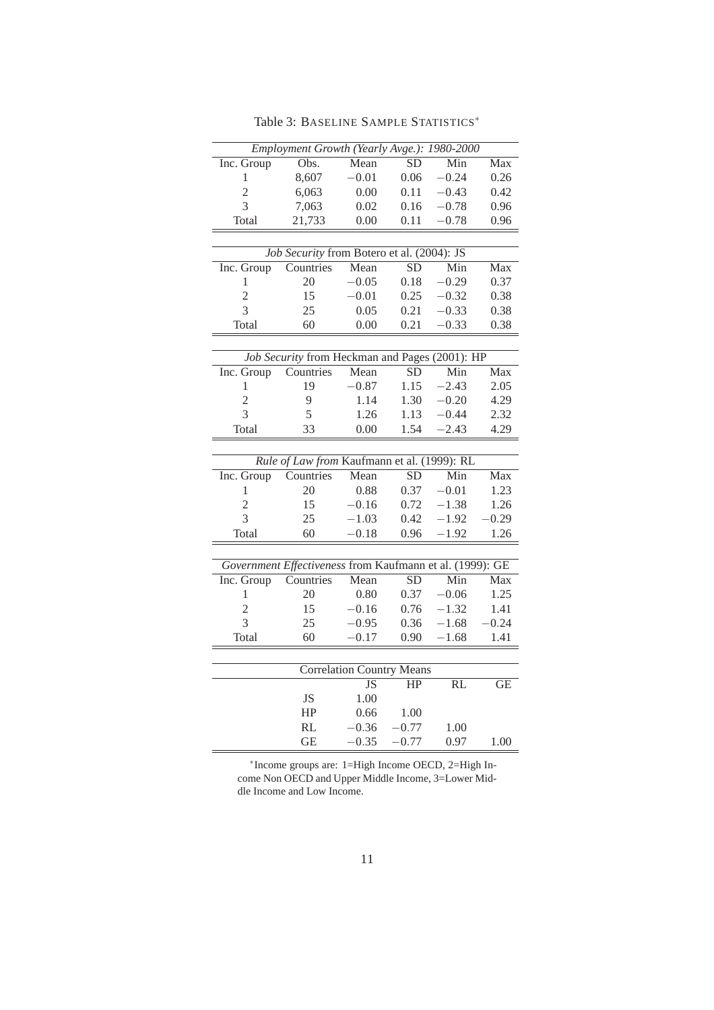| Employment Growth (Yearly Avge.): 1980-2000<br>$\overline{\mathrm{Obs}}$ .<br>Mean<br><b>SD</b><br>Min<br>$\overline{Max}$<br>Inc. Group<br>8,607<br>0.06<br>$-0.24$<br>0.26<br>1<br>$-0.01$<br>$\overline{2}$<br>6,063<br>0.42<br>0.00<br>0.11<br>$-0.43$<br>$\overline{3}$<br>7,063<br>0.16<br>$-0.78$<br>0.02<br>Total<br>0.00<br>$-0.78$<br>21,733<br>0.11<br>0.96<br>Job Security from Botero et al. (2004): JS<br>Mean<br>$\overline{SD}$<br>Min<br>Max<br>Inc. Group<br>Countries | 0.96 |  |  |  |  |  |  |
|------------------------------------------------------------------------------------------------------------------------------------------------------------------------------------------------------------------------------------------------------------------------------------------------------------------------------------------------------------------------------------------------------------------------------------------------------------------------------------------|------|--|--|--|--|--|--|
|                                                                                                                                                                                                                                                                                                                                                                                                                                                                                          |      |  |  |  |  |  |  |
|                                                                                                                                                                                                                                                                                                                                                                                                                                                                                          |      |  |  |  |  |  |  |
|                                                                                                                                                                                                                                                                                                                                                                                                                                                                                          |      |  |  |  |  |  |  |
|                                                                                                                                                                                                                                                                                                                                                                                                                                                                                          |      |  |  |  |  |  |  |
|                                                                                                                                                                                                                                                                                                                                                                                                                                                                                          |      |  |  |  |  |  |  |
|                                                                                                                                                                                                                                                                                                                                                                                                                                                                                          |      |  |  |  |  |  |  |
|                                                                                                                                                                                                                                                                                                                                                                                                                                                                                          |      |  |  |  |  |  |  |
|                                                                                                                                                                                                                                                                                                                                                                                                                                                                                          |      |  |  |  |  |  |  |
| $-0.29$<br>1<br>20<br>$-0.05$<br>0.18                                                                                                                                                                                                                                                                                                                                                                                                                                                    | 0.37 |  |  |  |  |  |  |
| $\overline{2}$<br>15<br>$-0.01$<br>0.25<br>$-0.32$<br>0.38                                                                                                                                                                                                                                                                                                                                                                                                                               |      |  |  |  |  |  |  |
| 3<br>25<br>0.05<br>0.21<br>$-0.33$<br>0.38                                                                                                                                                                                                                                                                                                                                                                                                                                               |      |  |  |  |  |  |  |
| Total<br>60<br>0.21<br>$-0.33$<br>0.38<br>0.00                                                                                                                                                                                                                                                                                                                                                                                                                                           |      |  |  |  |  |  |  |
|                                                                                                                                                                                                                                                                                                                                                                                                                                                                                          |      |  |  |  |  |  |  |
| Job Security from Heckman and Pages (2001): HP                                                                                                                                                                                                                                                                                                                                                                                                                                           |      |  |  |  |  |  |  |
| $\overline{\text{SD}}$<br>Min<br>Inc. Group<br>Countries<br>Mean<br>Max                                                                                                                                                                                                                                                                                                                                                                                                                  |      |  |  |  |  |  |  |
| 19<br>$-0.87$<br>1.15<br>$-2.43$<br>2.05<br>1                                                                                                                                                                                                                                                                                                                                                                                                                                            |      |  |  |  |  |  |  |
| $\overline{2}$<br>9<br>1.14<br>1.30<br>$-0.20$<br>4.29                                                                                                                                                                                                                                                                                                                                                                                                                                   |      |  |  |  |  |  |  |
| 3<br>5<br>$-0.44$<br>1.26<br>1.13<br>2.32                                                                                                                                                                                                                                                                                                                                                                                                                                                |      |  |  |  |  |  |  |
| Total<br>0.00<br>1.54<br>$-2.43$<br>4.29<br>33                                                                                                                                                                                                                                                                                                                                                                                                                                           |      |  |  |  |  |  |  |
|                                                                                                                                                                                                                                                                                                                                                                                                                                                                                          |      |  |  |  |  |  |  |
| Rule of Law from Kaufmann et al. (1999): RL                                                                                                                                                                                                                                                                                                                                                                                                                                              |      |  |  |  |  |  |  |
| SD<br>Min<br>Countries<br>Mean<br>Max<br>Inc. Group                                                                                                                                                                                                                                                                                                                                                                                                                                      |      |  |  |  |  |  |  |
| 0.88<br>0.37<br>$-0.01$<br>1<br>20                                                                                                                                                                                                                                                                                                                                                                                                                                                       | 1.23 |  |  |  |  |  |  |
| $\overline{c}$<br>15<br>$-0.16$<br>0.72<br>$-1.38$                                                                                                                                                                                                                                                                                                                                                                                                                                       | 1.26 |  |  |  |  |  |  |
| $\overline{3}$<br>25<br>$-1.03$<br>0.42<br>$-1.92$<br>0.29                                                                                                                                                                                                                                                                                                                                                                                                                               |      |  |  |  |  |  |  |
| Total<br>60<br>$-0.18$<br>0.96<br>$-1.92$                                                                                                                                                                                                                                                                                                                                                                                                                                                | 1.26 |  |  |  |  |  |  |
|                                                                                                                                                                                                                                                                                                                                                                                                                                                                                          |      |  |  |  |  |  |  |
|                                                                                                                                                                                                                                                                                                                                                                                                                                                                                          |      |  |  |  |  |  |  |
| Government Effectiveness from Kaufmann et al. (1999): GE                                                                                                                                                                                                                                                                                                                                                                                                                                 |      |  |  |  |  |  |  |
| Inc. Group<br>Countries<br>Mean<br>$\overline{SD}$<br>Min<br>Max                                                                                                                                                                                                                                                                                                                                                                                                                         |      |  |  |  |  |  |  |
| 1<br>0.80<br>0.37<br>$-0.06$<br>20                                                                                                                                                                                                                                                                                                                                                                                                                                                       | 1.25 |  |  |  |  |  |  |
| 15<br>$\overline{c}$<br>$-0.16$<br>0.76<br>$-1.32$<br>1.41                                                                                                                                                                                                                                                                                                                                                                                                                               |      |  |  |  |  |  |  |
| 3<br>25<br>$-0.95$<br>0.36<br>$-1.68$<br>$-0.24$                                                                                                                                                                                                                                                                                                                                                                                                                                         |      |  |  |  |  |  |  |
| 60<br>Total<br>$-0.17$<br>0.90<br>$-1.68$<br>1.41                                                                                                                                                                                                                                                                                                                                                                                                                                        |      |  |  |  |  |  |  |
|                                                                                                                                                                                                                                                                                                                                                                                                                                                                                          |      |  |  |  |  |  |  |
| <b>Correlation Country Means</b>                                                                                                                                                                                                                                                                                                                                                                                                                                                         |      |  |  |  |  |  |  |
| $\overline{RL}$<br><b>JS</b><br>HP                                                                                                                                                                                                                                                                                                                                                                                                                                                       | GE   |  |  |  |  |  |  |
| 1.00<br>JS                                                                                                                                                                                                                                                                                                                                                                                                                                                                               |      |  |  |  |  |  |  |
| HP<br>0.66<br>1.00                                                                                                                                                                                                                                                                                                                                                                                                                                                                       |      |  |  |  |  |  |  |
| RL<br>$-0.36$<br>$-0.77$<br>1.00<br><b>GE</b><br>$-0.35$<br>$-0.77$<br>0.97                                                                                                                                                                                                                                                                                                                                                                                                              | 1.00 |  |  |  |  |  |  |

Table 3: BASELINE SAMPLE STATISTICS<sup>\*</sup>

∗ Income groups are: 1=High Income OECD, 2=High Income Non OECD and Upper Middle Income, 3=Lower Middle Income and Low Income.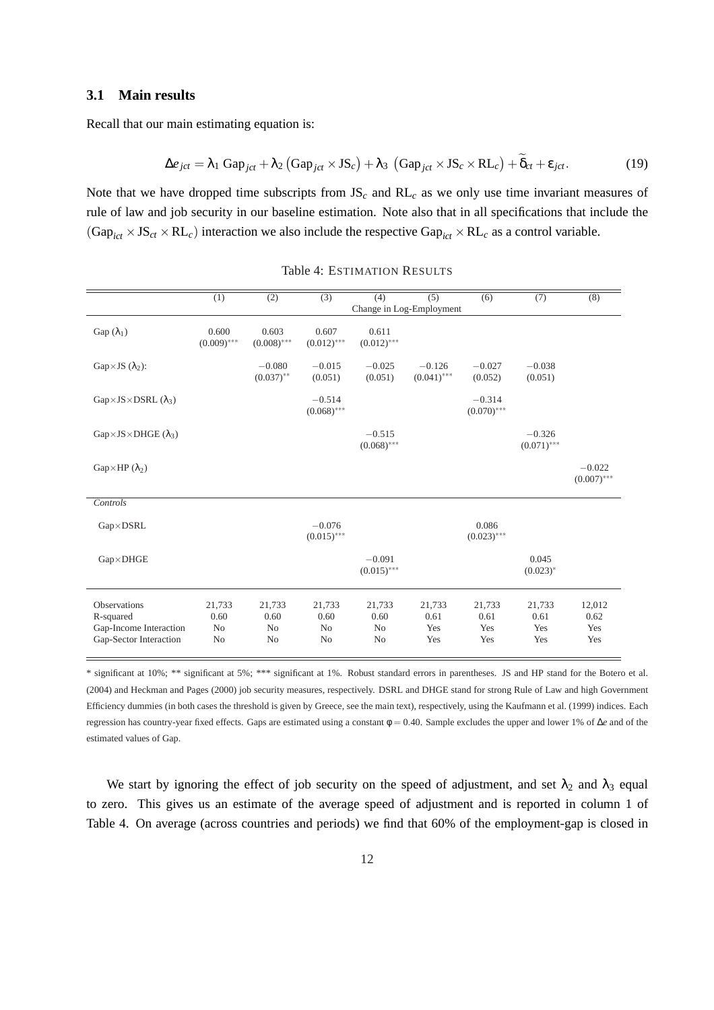### **3.1 Main results**

Recall that our main estimating equation is:

$$
\Delta e_{jct} = \lambda_1 \text{ Gap}_{jct} + \lambda_2 \left(\text{Gap}_{jct} \times \text{JS}_c\right) + \lambda_3 \left(\text{Gap}_{jct} \times \text{JS}_c \times \text{RL}_c\right) + \widetilde{\delta}_{ct} + \varepsilon_{jct}.
$$
\n(19)

Note that we have dropped time subscripts from JS*<sup>c</sup>* and RL*<sup>c</sup>* as we only use time invariant measures of rule of law and job security in our baseline estimation. Note also that in all specifications that include the  $(Gap<sub>ict</sub> \times JS<sub>ct</sub> \times RL<sub>c</sub>)$  interaction we also include the respective  $Gap<sub>ict</sub> \times RL<sub>c</sub>$  as a control variable.

|                                                                                      | $\overline{(1)}$                                   | $\overline{(2)}$                                   | $\overline{(3)}$                                   | (4)                                                | (5)                          | $\overline{(6)}$             | (7)                          | $\overline{(8)}$             |
|--------------------------------------------------------------------------------------|----------------------------------------------------|----------------------------------------------------|----------------------------------------------------|----------------------------------------------------|------------------------------|------------------------------|------------------------------|------------------------------|
|                                                                                      |                                                    |                                                    |                                                    | Change in Log-Employment                           |                              |                              |                              |                              |
| Gap $(\lambda_1)$                                                                    | 0.600<br>$(0.009)$ ***                             | 0.603<br>$(0.008)$ ***                             | 0.607<br>$(0.012)$ ***                             | 0.611<br>$(0.012)$ ***                             |                              |                              |                              |                              |
| Gap×JS $(\lambda_2)$ :                                                               |                                                    | $-0.080$<br>$(0.037)$ **                           | $-0.015$<br>(0.051)                                | $-0.025$<br>(0.051)                                | $-0.126$<br>$(0.041)$ ***    | $-0.027$<br>(0.052)          | $-0.038$<br>(0.051)          |                              |
| $Gap \times JS \times DSRL(\lambda_3)$                                               |                                                    |                                                    | $-0.514$<br>$(0.068)$ ***                          |                                                    |                              | $-0.314$<br>$(0.070)$ ***    |                              |                              |
| $Gap \times JS \times DHGE$ ( $\lambda_3$ )                                          |                                                    |                                                    |                                                    | $-0.515$<br>$(0.068)$ ***                          |                              |                              | $-0.326$<br>$(0.071)$ ***    |                              |
| $Gap\times HP(\lambda_2)$                                                            |                                                    |                                                    |                                                    |                                                    |                              |                              |                              | $-0.022$<br>$(0.007)$ ***    |
| Controls                                                                             |                                                    |                                                    |                                                    |                                                    |                              |                              |                              |                              |
| $Gap \times DSRL$                                                                    |                                                    |                                                    | $-0.076$<br>$(0.015)$ ***                          |                                                    |                              | 0.086<br>$(0.023)$ ***       |                              |                              |
| $Gap \times DHGE$                                                                    |                                                    |                                                    |                                                    | $-0.091$<br>$(0.015)$ ***                          |                              |                              | 0.045<br>$(0.023)^*$         |                              |
| <b>Observations</b><br>R-squared<br>Gap-Income Interaction<br>Gap-Sector Interaction | 21,733<br>0.60<br>N <sub>0</sub><br>N <sub>o</sub> | 21,733<br>0.60<br>N <sub>o</sub><br>N <sub>o</sub> | 21,733<br>0.60<br>N <sub>0</sub><br>N <sub>o</sub> | 21,733<br>0.60<br>N <sub>0</sub><br>N <sub>0</sub> | 21,733<br>0.61<br>Yes<br>Yes | 21,733<br>0.61<br>Yes<br>Yes | 21,733<br>0.61<br>Yes<br>Yes | 12,012<br>0.62<br>Yes<br>Yes |

#### Table 4: ESTIMATION RESULTS

\* significant at 10%; \*\* significant at 5%; \*\*\* significant at 1%. Robust standard errors in parentheses. JS and HP stand for the Botero et al. (2004) and Heckman and Pages (2000) job security measures, respectively. DSRL and DHGE stand for strong Rule of Law and high Government Efficiency dummies (in both cases the threshold is given by Greece, see the main text), respectively, using the Kaufmann et al. (1999) indices. Each regression has country-year fixed effects. Gaps are estimated using a constant φ = 0.40. Sample excludes the upper and lower 1% of ∆*e* and of the estimated values of Gap.

We start by ignoring the effect of job security on the speed of adjustment, and set  $\lambda_2$  and  $\lambda_3$  equal to zero. This gives us an estimate of the average speed of adjustment and is reported in column 1 of Table 4. On average (across countries and periods) we find that 60% of the employment-gap is closed in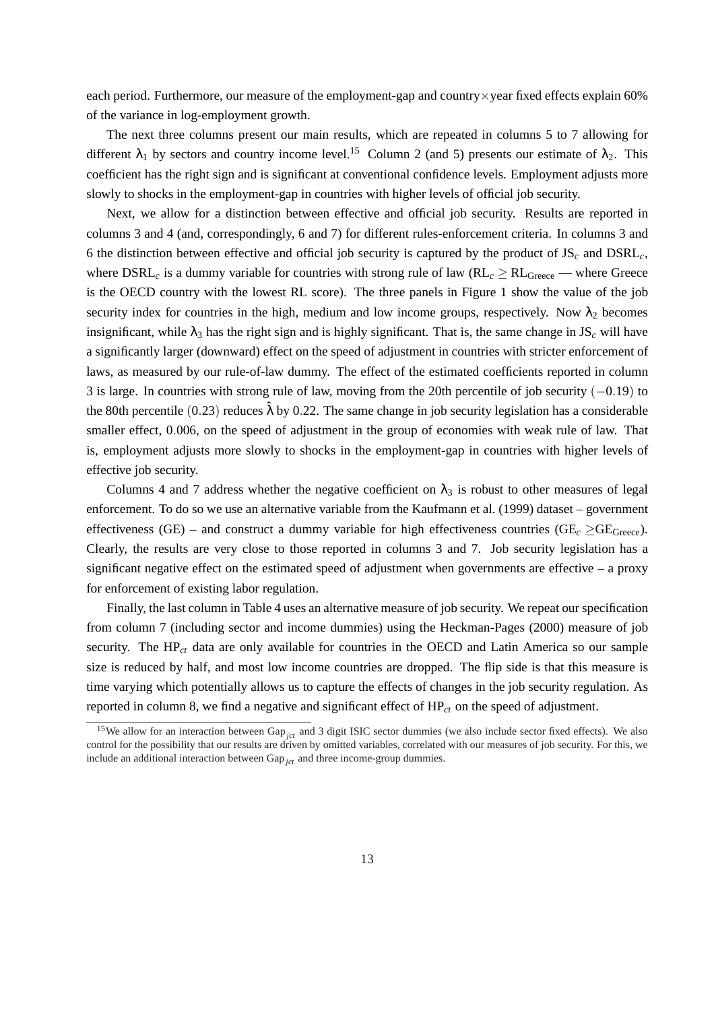each period. Furthermore, our measure of the employment-gap and country×year fixed effects explain 60% of the variance in log-employment growth.

The next three columns present our main results, which are repeated in columns 5 to 7 allowing for different  $\lambda_1$  by sectors and country income level.<sup>15</sup> Column 2 (and 5) presents our estimate of  $\lambda_2$ . This coefficient has the right sign and is significant at conventional confidence levels. Employment adjusts more slowly to shocks in the employment-gap in countries with higher levels of official job security.

Next, we allow for a distinction between effective and official job security. Results are reported in columns 3 and 4 (and, correspondingly, 6 and 7) for different rules-enforcement criteria. In columns 3 and 6 the distinction between effective and official job security is captured by the product of JS*<sup>c</sup>* and DSRL*c*, where  $DSRL_c$  is a dummy variable for countries with strong rule of law ( $RL_c \geq RL_{Greec}$  — where Greece is the OECD country with the lowest RL score). The three panels in Figure 1 show the value of the job security index for countries in the high, medium and low income groups, respectively. Now  $\lambda_2$  becomes insignificant, while  $\lambda_3$  has the right sign and is highly significant. That is, the same change in JS<sub>c</sub> will have a significantly larger (downward) effect on the speed of adjustment in countries with stricter enforcement of laws, as measured by our rule-of-law dummy. The effect of the estimated coefficients reported in column 3 is large. In countries with strong rule of law, moving from the 20th percentile of job security (−0.19) to the 80th percentile (0.23) reduces  $\hat{\lambda}$  by 0.22. The same change in job security legislation has a considerable smaller effect, 0.006, on the speed of adjustment in the group of economies with weak rule of law. That is, employment adjusts more slowly to shocks in the employment-gap in countries with higher levels of effective job security.

Columns 4 and 7 address whether the negative coefficient on  $\lambda_3$  is robust to other measures of legal enforcement. To do so we use an alternative variable from the Kaufmann et al. (1999) dataset – government effectiveness (GE) – and construct a dummy variable for high effectiveness countries ( $GE_c \geq GE_{Greece}$ ). Clearly, the results are very close to those reported in columns 3 and 7. Job security legislation has a significant negative effect on the estimated speed of adjustment when governments are effective – a proxy for enforcement of existing labor regulation.

Finally, the last column in Table 4 uses an alternative measure of job security. We repeat our specification from column 7 (including sector and income dummies) using the Heckman-Pages (2000) measure of job security. The HP<sub>ct</sub> data are only available for countries in the OECD and Latin America so our sample size is reduced by half, and most low income countries are dropped. The flip side is that this measure is time varying which potentially allows us to capture the effects of changes in the job security regulation. As reported in column 8, we find a negative and significant effect of HP*ct* on the speed of adjustment.

<sup>&</sup>lt;sup>15</sup>We allow for an interaction between Gap<sub>ict</sub> and 3 digit ISIC sector dummies (we also include sector fixed effects). We also control for the possibility that our results are driven by omitted variables, correlated with our measures of job security. For this, we include an additional interaction between Gap $_{ict}$  and three income-group dummies.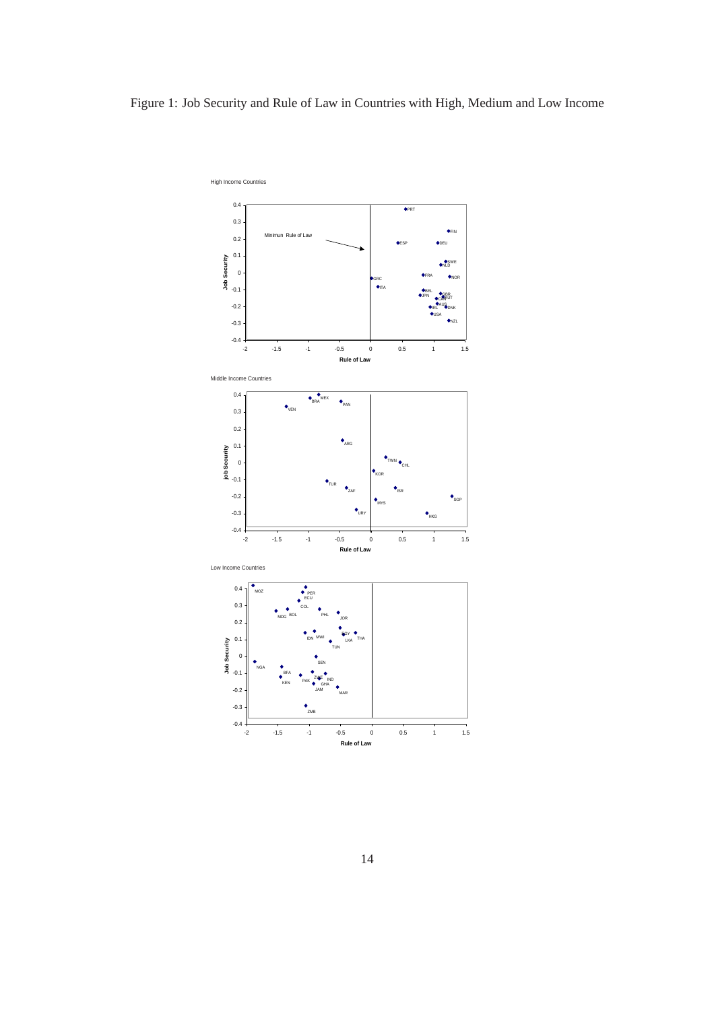# Figure 1: Job Security and Rule of Law in Countries with High, Medium and Low Income

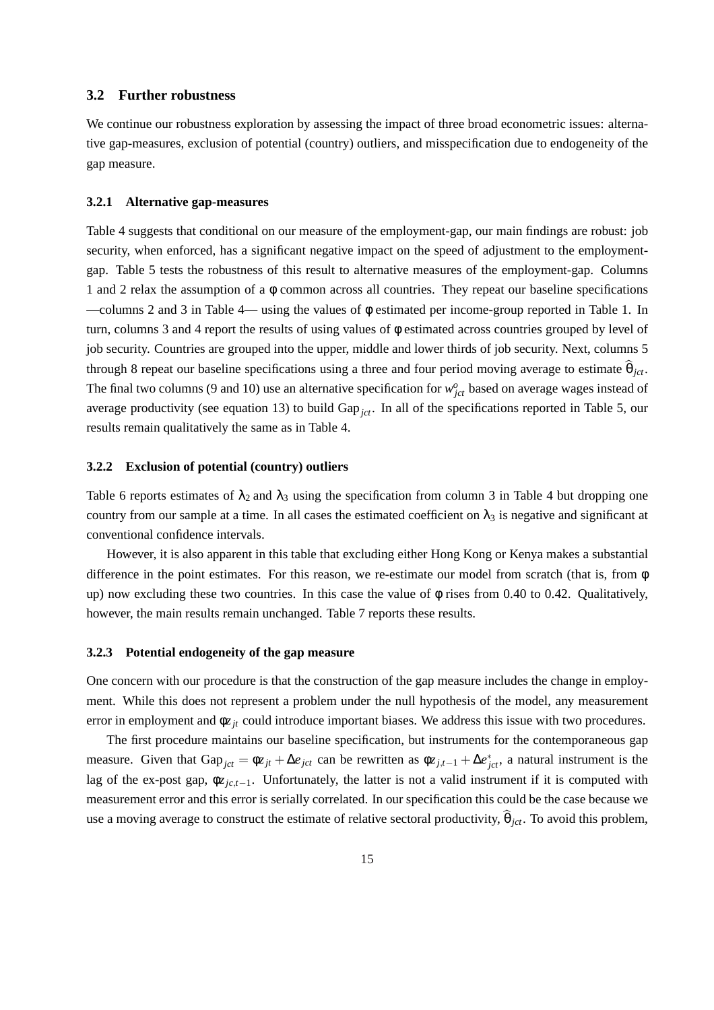### **3.2 Further robustness**

We continue our robustness exploration by assessing the impact of three broad econometric issues: alternative gap-measures, exclusion of potential (country) outliers, and misspecification due to endogeneity of the gap measure.

### **3.2.1 Alternative gap-measures**

Table 4 suggests that conditional on our measure of the employment-gap, our main findings are robust: job security, when enforced, has a significant negative impact on the speed of adjustment to the employmentgap. Table 5 tests the robustness of this result to alternative measures of the employment-gap. Columns 1 and 2 relax the assumption of a φ common across all countries. They repeat our baseline specifications —columns 2 and 3 in Table 4— using the values of φ estimated per income-group reported in Table 1. In turn, columns 3 and 4 report the results of using values of φ estimated across countries grouped by level of job security. Countries are grouped into the upper, middle and lower thirds of job security. Next, columns 5 through 8 repeat our baseline specifications using a three and four period moving average to estimate  $\widehat{\theta}_{ict}$ . The final two columns (9 and 10) use an alternative specification for  $w_{jct}^o$  based on average wages instead of average productivity (see equation 13) to build Gap<sub>ict</sub>. In all of the specifications reported in Table 5, our results remain qualitatively the same as in Table 4.

### **3.2.2 Exclusion of potential (country) outliers**

Table 6 reports estimates of  $\lambda_2$  and  $\lambda_3$  using the specification from column 3 in Table 4 but dropping one country from our sample at a time. In all cases the estimated coefficient on  $\lambda_3$  is negative and significant at conventional confidence intervals.

However, it is also apparent in this table that excluding either Hong Kong or Kenya makes a substantial difference in the point estimates. For this reason, we re-estimate our model from scratch (that is, from φ up) now excluding these two countries. In this case the value of  $\phi$  rises from 0.40 to 0.42. Qualitatively, however, the main results remain unchanged. Table 7 reports these results.

### **3.2.3 Potential endogeneity of the gap measure**

One concern with our procedure is that the construction of the gap measure includes the change in employment. While this does not represent a problem under the null hypothesis of the model, any measurement error in employment and φ*zjt* could introduce important biases. We address this issue with two procedures.

The first procedure maintains our baseline specification, but instruments for the contemporaneous gap measure. Given that Gap<sub>jct</sub> =  $\phi z_{jt} + \Delta e_{jct}$  can be rewritten as  $\phi z_{j,t-1} + \Delta e_{jct}^*$ , a natural instrument is the lag of the ex-post gap, φ*zjc*,*t*−1. Unfortunately, the latter is not a valid instrument if it is computed with measurement error and this error is serially correlated. In our specification this could be the case because we use a moving average to construct the estimate of relative sectoral productivity,  $\hat{\theta}_{ict}$ . To avoid this problem,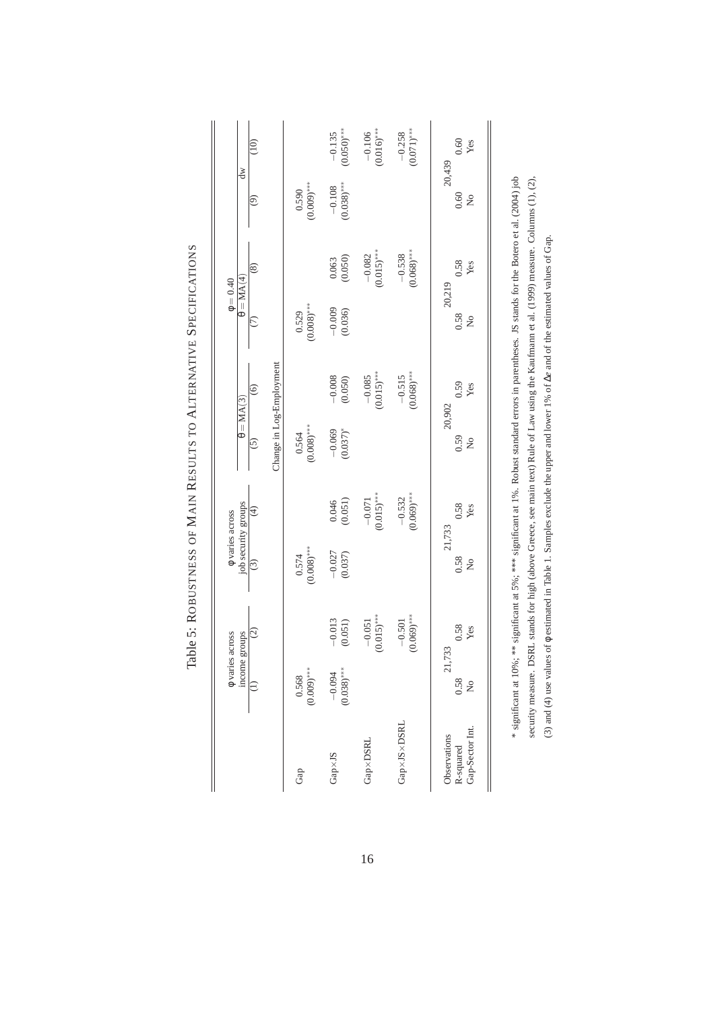| ď<br>$\theta = \text{MA}(4)$<br>$\phi = 0.40$<br>$\theta = \text{MA}(3)$<br>$\upphi$ varies across | $\widehat{=}$<br>$\widehat{\odot}$<br>$\circledS$<br>$\odot$<br>$\odot$<br>$\overline{5}$<br>$\widehat{\mathcal{F}}$ | Change in Log-Employment | $0.590$<br>$(0.009)***$<br>$0.529$<br>$(0.008)***$<br>$0.564$<br>$(0.008)***$ | $-0.135$<br>(0.050)***<br>$-0.108$<br>(0.038)***<br>(0.063)<br>$-0.009$<br>(0.036)<br>$-0.008$<br>(0.050)<br>$-0.069$<br>$(0.037)^*$<br>$0.046$<br>$(0.051)$ | $-0.106$<br>(0.016)***<br>$(0.015)$ ***<br>$-0.082$<br>$(0.015)$ ***<br>$-0.085$<br>$-0.071$<br>(0.015)*** | $-0.258$<br>(0.071)***<br>$0.068$ <sup>***</sup><br>$-0.538$<br>$(0.068)$ ***<br>$-0.515$<br>$0.069)$ ***<br>$-0.532$ | 0.60<br>Yes<br>20,439<br>0.60<br>$\frac{1}{2}$<br>0.58<br>Yes<br>20,219<br>0.58<br>ž<br>0.59<br>20,902<br>0.59<br>0.58 |
|----------------------------------------------------------------------------------------------------|----------------------------------------------------------------------------------------------------------------------|--------------------------|-------------------------------------------------------------------------------|--------------------------------------------------------------------------------------------------------------------------------------------------------------|------------------------------------------------------------------------------------------------------------|-----------------------------------------------------------------------------------------------------------------------|------------------------------------------------------------------------------------------------------------------------|
|                                                                                                    |                                                                                                                      |                          |                                                                               |                                                                                                                                                              |                                                                                                            |                                                                                                                       | Yes                                                                                                                    |
|                                                                                                    |                                                                                                                      |                          |                                                                               |                                                                                                                                                              |                                                                                                            |                                                                                                                       | $\tilde{z}$                                                                                                            |
| job security groups                                                                                |                                                                                                                      |                          |                                                                               |                                                                                                                                                              |                                                                                                            |                                                                                                                       | Yes<br>21,733                                                                                                          |
|                                                                                                    | $\odot$                                                                                                              |                          | $(0.008)$ ***<br>0.574                                                        | $-0.027$<br>(0.037)                                                                                                                                          |                                                                                                            |                                                                                                                       | 0.58<br>$\tilde{z}$                                                                                                    |
| $\phi$ varies across<br>income groups                                                              | $\odot$                                                                                                              |                          |                                                                               | $-0.013$<br>(0.051)                                                                                                                                          | $(0.015)$ ***<br>$-0.051$                                                                                  | $(0.069)$ ***<br>$-0.501$                                                                                             | 0.58<br>Yes<br>21,733                                                                                                  |
|                                                                                                    | $\widehat{z}$                                                                                                        |                          | $(0.009)$ ***<br>0.568                                                        | $(0.038)$ ***<br>$-0.094$                                                                                                                                    |                                                                                                            |                                                                                                                       | 0.58<br>$\tilde{\mathbf{z}}$                                                                                           |
|                                                                                                    |                                                                                                                      |                          | Gap                                                                           | $Gap\times JS$                                                                                                                                               | <b>Gap×DSRL</b>                                                                                            | Gap×JS×DSRL                                                                                                           | Gap-Sector Int<br>Observations<br>R-squared                                                                            |

Table 5: ROBUSTNESS OF MAIN RESULTS TO ALTERNATIVE SPECIFICATIONS Table 5: ROBUSTNESS OF MAIN RESULTS TO ALTERNATIVE SPECIFICATIONS

16

\* significant at 10%; \*\* significant at 5%; \*\*\* significant at 1%. Robust standard errors in parentheses. JS stands for the Botero et al. (2004) job security measure. DSRL stands for high (above Greece, see main text) Rule of Law using the Kaufmann et al. (1999) measure. Columns (1), (2), \* significant at 10%; \*\* significant at 5%; \*\*\* significant at 1%. Robust standard errors in parentheses. JS stands for the Botero et al. (2004) job security measure. DSRL stands for high (above Greece, see main text) Rule of Law using the Kaufmann et al. (1999) measure. Columns (1), (2), (3) and (4) use values of  $\phi$  estimated in Table 1. Samples exclude the upper and lower 1% of  $\Delta e$  and of the estimated values of Gap. (3) and (4) use values of φ estimated in Table 1. Samples exclude the upper and lower 1% of ∆*e* and of the estimated values of Gap.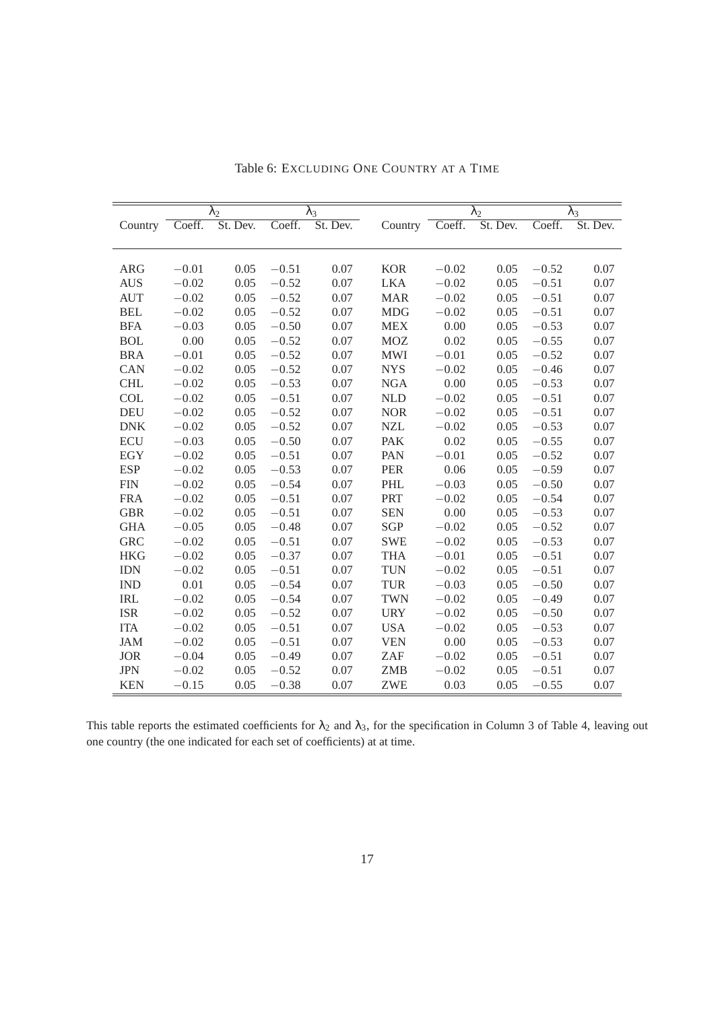|            |         | $\overline{\lambda}_2$ |         | $\lambda_3$ |            |         | $\lambda_2$ |         | $\lambda_3$ |
|------------|---------|------------------------|---------|-------------|------------|---------|-------------|---------|-------------|
| Country    | Coeff.  | St. Dev.               | Coeff.  | St. Dev.    | Country    | Coeff.  | St. Dev.    | Coeff.  | St. Dev.    |
|            |         |                        |         |             |            |         |             |         |             |
|            |         |                        |         |             |            |         |             |         |             |
| <b>ARG</b> | $-0.01$ | 0.05                   | $-0.51$ | 0.07        | <b>KOR</b> | $-0.02$ | 0.05        | $-0.52$ | 0.07        |
| <b>AUS</b> | $-0.02$ | 0.05                   | $-0.52$ | 0.07        | <b>LKA</b> | $-0.02$ | 0.05        | $-0.51$ | 0.07        |
| <b>AUT</b> | $-0.02$ | 0.05                   | $-0.52$ | 0.07        | <b>MAR</b> | $-0.02$ | 0.05        | $-0.51$ | 0.07        |
| <b>BEL</b> | $-0.02$ | 0.05                   | $-0.52$ | 0.07        | <b>MDG</b> | $-0.02$ | 0.05        | $-0.51$ | 0.07        |
| <b>BFA</b> | $-0.03$ | 0.05                   | $-0.50$ | 0.07        | <b>MEX</b> | 0.00    | 0.05        | $-0.53$ | 0.07        |
| <b>BOL</b> | 0.00    | 0.05                   | $-0.52$ | 0.07        | <b>MOZ</b> | 0.02    | 0.05        | $-0.55$ | 0.07        |
| <b>BRA</b> | $-0.01$ | 0.05                   | $-0.52$ | 0.07        | <b>MWI</b> | $-0.01$ | 0.05        | $-0.52$ | 0.07        |
| CAN        | $-0.02$ | 0.05                   | $-0.52$ | 0.07        | <b>NYS</b> | $-0.02$ | 0.05        | $-0.46$ | 0.07        |
| <b>CHL</b> | $-0.02$ | 0.05                   | $-0.53$ | 0.07        | <b>NGA</b> | 0.00    | 0.05        | $-0.53$ | 0.07        |
| <b>COL</b> | $-0.02$ | 0.05                   | $-0.51$ | 0.07        | <b>NLD</b> | $-0.02$ | 0.05        | $-0.51$ | 0.07        |
| <b>DEU</b> | $-0.02$ | 0.05                   | $-0.52$ | 0.07        | <b>NOR</b> | $-0.02$ | 0.05        | $-0.51$ | 0.07        |
| <b>DNK</b> | $-0.02$ | 0.05                   | $-0.52$ | 0.07        | <b>NZL</b> | $-0.02$ | 0.05        | $-0.53$ | 0.07        |
| <b>ECU</b> | $-0.03$ | 0.05                   | $-0.50$ | 0.07        | <b>PAK</b> | 0.02    | 0.05        | $-0.55$ | 0.07        |
| <b>EGY</b> | $-0.02$ | 0.05                   | $-0.51$ | 0.07        | <b>PAN</b> | $-0.01$ | 0.05        | $-0.52$ | 0.07        |
| <b>ESP</b> | $-0.02$ | 0.05                   | $-0.53$ | 0.07        | <b>PER</b> | 0.06    | 0.05        | $-0.59$ | 0.07        |
| <b>FIN</b> | $-0.02$ | 0.05                   | $-0.54$ | 0.07        | <b>PHL</b> | $-0.03$ | 0.05        | $-0.50$ | 0.07        |
| <b>FRA</b> | $-0.02$ | 0.05                   | $-0.51$ | 0.07        | <b>PRT</b> | $-0.02$ | 0.05        | $-0.54$ | 0.07        |
| <b>GBR</b> | $-0.02$ | 0.05                   | $-0.51$ | 0.07        | <b>SEN</b> | 0.00    | 0.05        | $-0.53$ | 0.07        |
| <b>GHA</b> | $-0.05$ | 0.05                   | $-0.48$ | 0.07        | <b>SGP</b> | $-0.02$ | 0.05        | $-0.52$ | 0.07        |
| <b>GRC</b> | $-0.02$ | 0.05                   | $-0.51$ | 0.07        | <b>SWE</b> | $-0.02$ | 0.05        | $-0.53$ | 0.07        |
| <b>HKG</b> | $-0.02$ | 0.05                   | $-0.37$ | 0.07        | <b>THA</b> | $-0.01$ | 0.05        | $-0.51$ | 0.07        |
| <b>IDN</b> | $-0.02$ | 0.05                   | $-0.51$ | 0.07        | <b>TUN</b> | $-0.02$ | 0.05        | $-0.51$ | 0.07        |
| <b>IND</b> | 0.01    | 0.05                   | $-0.54$ | 0.07        | <b>TUR</b> | $-0.03$ | 0.05        | $-0.50$ | 0.07        |
| <b>IRL</b> | $-0.02$ | 0.05                   | $-0.54$ | 0.07        | <b>TWN</b> | $-0.02$ | 0.05        | $-0.49$ | 0.07        |
| <b>ISR</b> | $-0.02$ | 0.05                   | $-0.52$ | 0.07        | <b>URY</b> | $-0.02$ | 0.05        | $-0.50$ | 0.07        |
| <b>ITA</b> | $-0.02$ | 0.05                   | $-0.51$ | 0.07        | <b>USA</b> | $-0.02$ | 0.05        | $-0.53$ | 0.07        |
| <b>JAM</b> | $-0.02$ | 0.05                   | $-0.51$ | 0.07        | <b>VEN</b> | 0.00    | 0.05        | $-0.53$ | 0.07        |
| <b>JOR</b> | $-0.04$ | 0.05                   | $-0.49$ | 0.07        | <b>ZAF</b> | $-0.02$ | 0.05        | $-0.51$ | 0.07        |
| <b>JPN</b> | $-0.02$ | 0.05                   | $-0.52$ | 0.07        | <b>ZMB</b> | $-0.02$ | 0.05        | $-0.51$ | 0.07        |
| <b>KEN</b> | $-0.15$ | 0.05                   | $-0.38$ | 0.07        | <b>ZWE</b> | 0.03    | 0.05        | $-0.55$ | 0.07        |

Table 6: EXCLUDING ONE COUNTRY AT A TIME

This table reports the estimated coefficients for  $\lambda_2$  and  $\lambda_3$ , for the specification in Column 3 of Table 4, leaving out one country (the one indicated for each set of coefficients) at at time.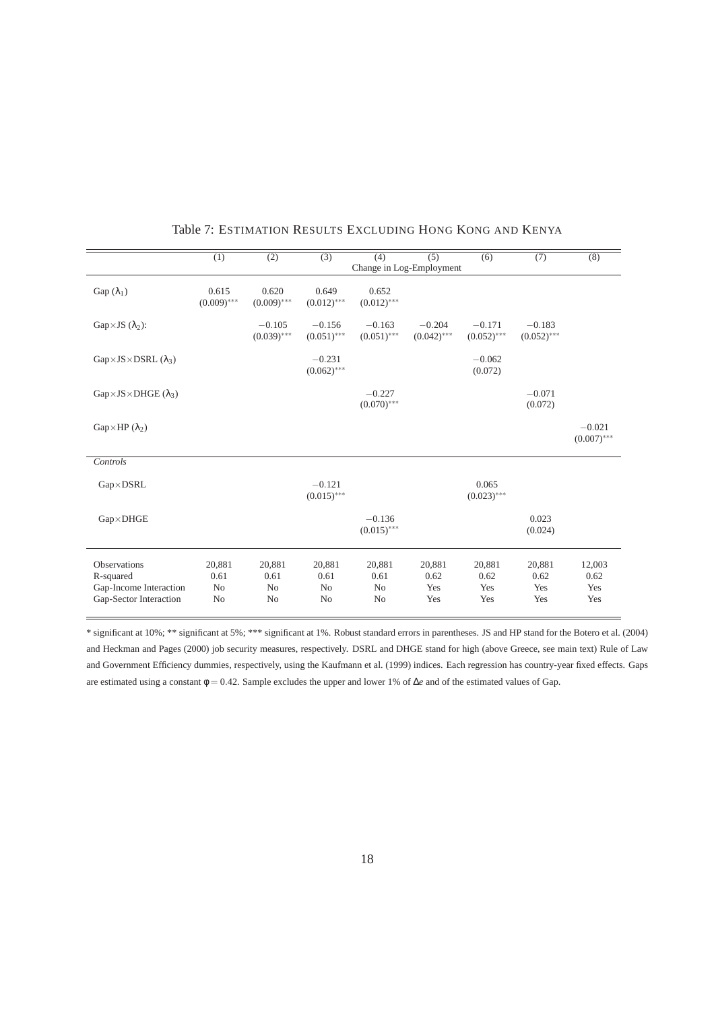|                                                                               | $\overline{(1)}$                                   | $\overline{(2)}$                                   | $\overline{(3)}$                                   | (4)                                    | $\overline{(5)}$             | $\overline{(6)}$             | (7)                          | (8)                          |
|-------------------------------------------------------------------------------|----------------------------------------------------|----------------------------------------------------|----------------------------------------------------|----------------------------------------|------------------------------|------------------------------|------------------------------|------------------------------|
|                                                                               |                                                    |                                                    |                                                    | Change in Log-Employment               |                              |                              |                              |                              |
| Gap $(\lambda_1)$                                                             | 0.615<br>$(0.009)$ ***                             | 0.620<br>$(0.009)$ ***                             | 0.649<br>$(0.012)$ ***                             | 0.652<br>$(0.012)$ ***                 |                              |                              |                              |                              |
| Gap×JS $(\lambda_2)$ :                                                        |                                                    | $-0.105$<br>$(0.039)$ ***                          | $-0.156$<br>$(0.051)$ ***                          | $-0.163$<br>$(0.051)$ ***              | $-0.204$<br>$(0.042)$ ***    | $-0.171$<br>$(0.052)$ ***    | $-0.183$<br>$(0.052)$ ***    |                              |
| $Gap \times JS \times DSRL (\lambda_3)$                                       |                                                    |                                                    | $-0.231$<br>$(0.062)$ ***                          |                                        |                              | $-0.062$<br>(0.072)          |                              |                              |
| $Gap \times JS \times DHGE$ ( $\lambda_3$ )                                   |                                                    |                                                    |                                                    | $-0.227$<br>$(0.070)$ ***              |                              |                              | $-0.071$<br>(0.072)          |                              |
| $Gap\times HP(\lambda_2)$                                                     |                                                    |                                                    |                                                    |                                        |                              |                              |                              | $-0.021$<br>$(0.007)$ ***    |
| Controls                                                                      |                                                    |                                                    |                                                    |                                        |                              |                              |                              |                              |
| $Gap \times DSRL$                                                             |                                                    |                                                    | $-0.121$<br>$(0.015)$ ***                          |                                        |                              | 0.065<br>$(0.023)$ ***       |                              |                              |
| $Gap \times DHGE$                                                             |                                                    |                                                    |                                                    | $-0.136$<br>$(0.015)$ ***              |                              |                              | 0.023<br>(0.024)             |                              |
| Observations<br>R-squared<br>Gap-Income Interaction<br>Gap-Sector Interaction | 20,881<br>0.61<br>N <sub>0</sub><br>N <sub>o</sub> | 20,881<br>0.61<br>N <sub>0</sub><br>N <sub>o</sub> | 20,881<br>0.61<br>N <sub>0</sub><br>N <sub>o</sub> | 20,881<br>0.61<br>No<br>N <sub>o</sub> | 20,881<br>0.62<br>Yes<br>Yes | 20,881<br>0.62<br>Yes<br>Yes | 20,881<br>0.62<br>Yes<br>Yes | 12,003<br>0.62<br>Yes<br>Yes |

## Table 7: ESTIMATION RESULTS EXCLUDING HONG KONG AND KENYA

\* significant at 10%; \*\* significant at 5%; \*\*\* significant at 1%. Robust standard errors in parentheses. JS and HP stand for the Botero et al. (2004) and Heckman and Pages (2000) job security measures, respectively. DSRL and DHGE stand for high (above Greece, see main text) Rule of Law and Government Efficiency dummies, respectively, using the Kaufmann et al. (1999) indices. Each regression has country-year fixed effects. Gaps are estimated using a constant φ = 0.42. Sample excludes the upper and lower 1% of ∆*e* and of the estimated values of Gap.

 $\overline{a}$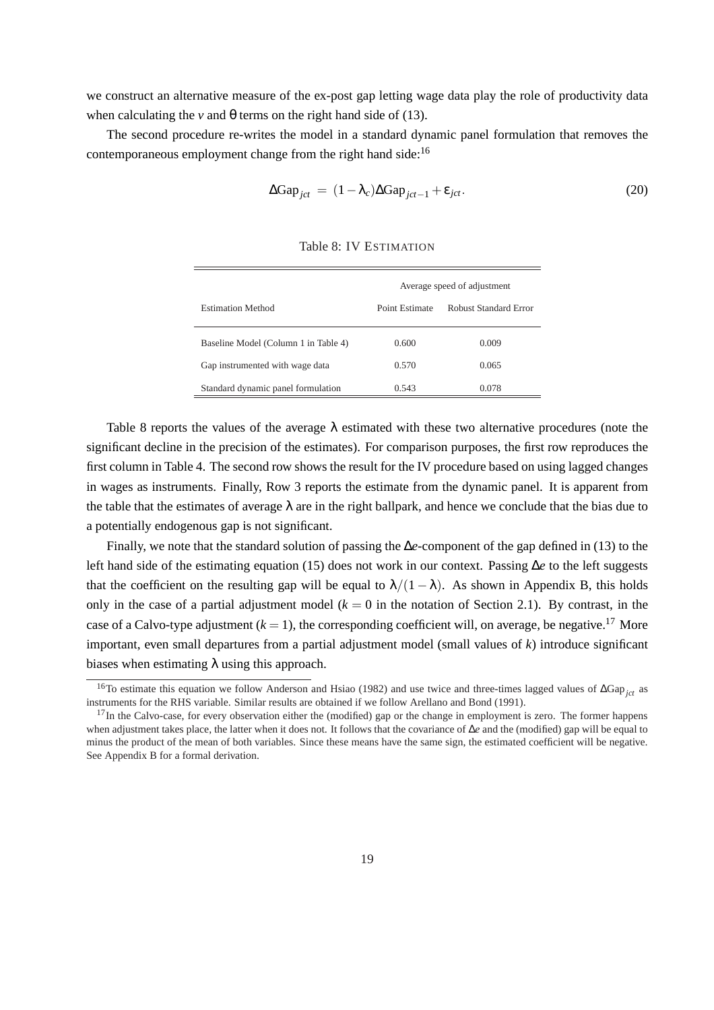we construct an alternative measure of the ex-post gap letting wage data play the role of productivity data when calculating the *v* and  $\theta$  terms on the right hand side of (13).

The second procedure re-writes the model in a standard dynamic panel formulation that removes the contemporaneous employment change from the right hand side:<sup>16</sup>

$$
\Delta \text{Gap}_{jct} = (1 - \lambda_c) \Delta \text{Gap}_{jct-1} + \varepsilon_{jct}.
$$
\n(20)

|                                      |                | Average speed of adjustment |
|--------------------------------------|----------------|-----------------------------|
| Estimation Method                    | Point Estimate | Robust Standard Error       |
| Baseline Model (Column 1 in Table 4) | 0.600          | 0.009                       |
| Gap instrumented with wage data      | 0.570          | 0.065                       |
| Standard dynamic panel formulation   | 0.543          | 0.078                       |

Table 8: IV ESTIMATION

Table 8 reports the values of the average  $\lambda$  estimated with these two alternative procedures (note the significant decline in the precision of the estimates). For comparison purposes, the first row reproduces the first column in Table 4. The second row shows the result for the IV procedure based on using lagged changes in wages as instruments. Finally, Row 3 reports the estimate from the dynamic panel. It is apparent from the table that the estimates of average  $\lambda$  are in the right ballpark, and hence we conclude that the bias due to a potentially endogenous gap is not significant.

Finally, we note that the standard solution of passing the ∆*e*-component of the gap defined in (13) to the left hand side of the estimating equation (15) does not work in our context. Passing ∆*e* to the left suggests that the coefficient on the resulting gap will be equal to  $\lambda/(1 - \lambda)$ . As shown in Appendix B, this holds only in the case of a partial adjustment model  $(k = 0$  in the notation of Section 2.1). By contrast, in the case of a Calvo-type adjustment  $(k = 1)$ , the corresponding coefficient will, on average, be negative.<sup>17</sup> More important, even small departures from a partial adjustment model (small values of *k*) introduce significant biases when estimating  $\lambda$  using this approach.

<sup>16</sup>To estimate this equation we follow Anderson and Hsiao (1982) and use twice and three-times lagged values of ∆Gap*jct* as instruments for the RHS variable. Similar results are obtained if we follow Arellano and Bond (1991).

 $17$ In the Calvo-case, for every observation either the (modified) gap or the change in employment is zero. The former happens when adjustment takes place, the latter when it does not. It follows that the covariance of ∆*e* and the (modified) gap will be equal to minus the product of the mean of both variables. Since these means have the same sign, the estimated coefficient will be negative. See Appendix B for a formal derivation.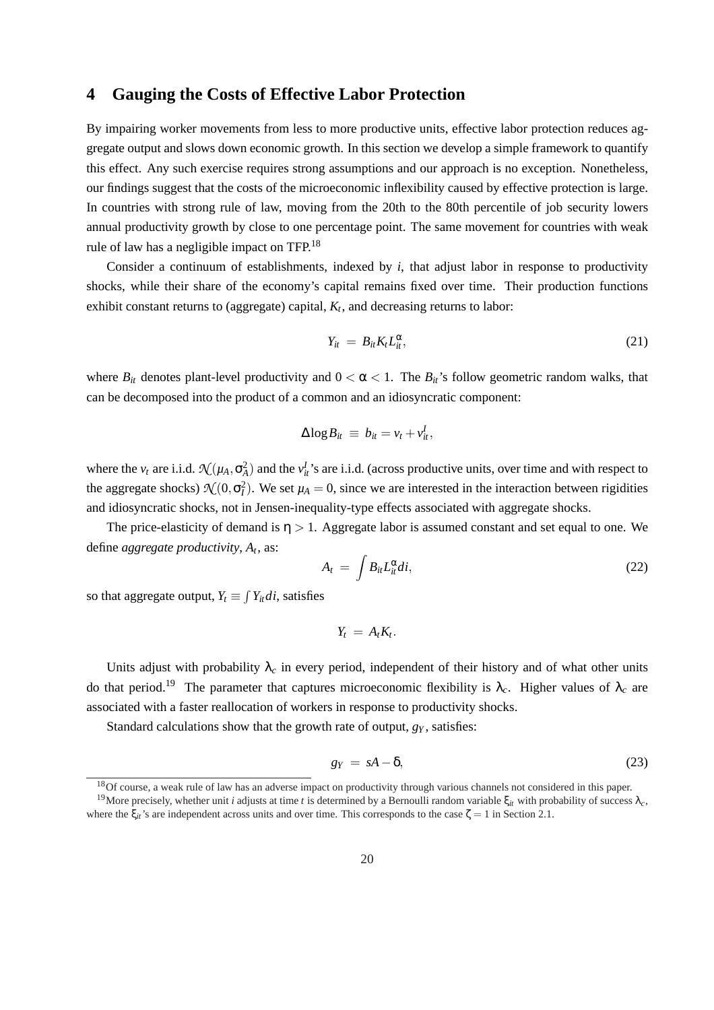### **4 Gauging the Costs of Effective Labor Protection**

By impairing worker movements from less to more productive units, effective labor protection reduces aggregate output and slows down economic growth. In this section we develop a simple framework to quantify this effect. Any such exercise requires strong assumptions and our approach is no exception. Nonetheless, our findings suggest that the costs of the microeconomic inflexibility caused by effective protection is large. In countries with strong rule of law, moving from the 20th to the 80th percentile of job security lowers annual productivity growth by close to one percentage point. The same movement for countries with weak rule of law has a negligible impact on TFP.<sup>18</sup>

Consider a continuum of establishments, indexed by *i*, that adjust labor in response to productivity shocks, while their share of the economy's capital remains fixed over time. Their production functions exhibit constant returns to (aggregate) capital, *K<sup>t</sup>* , and decreasing returns to labor:

$$
Y_{it} = B_{it} K_t L_{it}^{\alpha}, \qquad (21)
$$

where  $B_{it}$  denotes plant-level productivity and  $0 < \alpha < 1$ . The  $B_{it}$ 's follow geometric random walks, that can be decomposed into the product of a common and an idiosyncratic component:

$$
\Delta \log B_{it} \equiv b_{it} = v_t + v_{it}^I,
$$

where the  $v_t$  are i.i.d.  $\mathcal{N}(\mu_A, \sigma_A^2)$  and the  $v_t^I$ 's are i.i.d. (across productive units, over time and with respect to the aggregate shocks)  $\mathcal{N}(0, \sigma_I^2)$ . We set  $\mu_A = 0$ , since we are interested in the interaction between rigidities and idiosyncratic shocks, not in Jensen-inequality-type effects associated with aggregate shocks.

The price-elasticity of demand is  $\eta > 1$ . Aggregate labor is assumed constant and set equal to one. We define *aggregate productivity*, *A<sup>t</sup>* , as:

$$
A_t = \int B_{it} L_{it}^{\alpha} di,
$$
 (22)

so that aggregate output,  $Y_t \equiv \int Y_{it}di$ , satisfies

$$
Y_t = A_t K_t.
$$

Units adjust with probability  $\lambda_c$  in every period, independent of their history and of what other units do that period.<sup>19</sup> The parameter that captures microeconomic flexibility is  $\lambda_c$ . Higher values of  $\lambda_c$  are associated with a faster reallocation of workers in response to productivity shocks.

Standard calculations show that the growth rate of output, *g<sup>Y</sup>* , satisfies:

$$
g_Y = sA - \delta,\tag{23}
$$

<sup>&</sup>lt;sup>18</sup>Of course, a weak rule of law has an adverse impact on productivity through various channels not considered in this paper.

<sup>&</sup>lt;sup>19</sup>More precisely, whether unit *i* adjusts at time *t* is determined by a Bernoulli random variable ξ<sub>*it*</sub> with probability of success λ<sub>c</sub>, where the  $\xi_{it}$ 's are independent across units and over time. This corresponds to the case  $\zeta = 1$  in Section 2.1.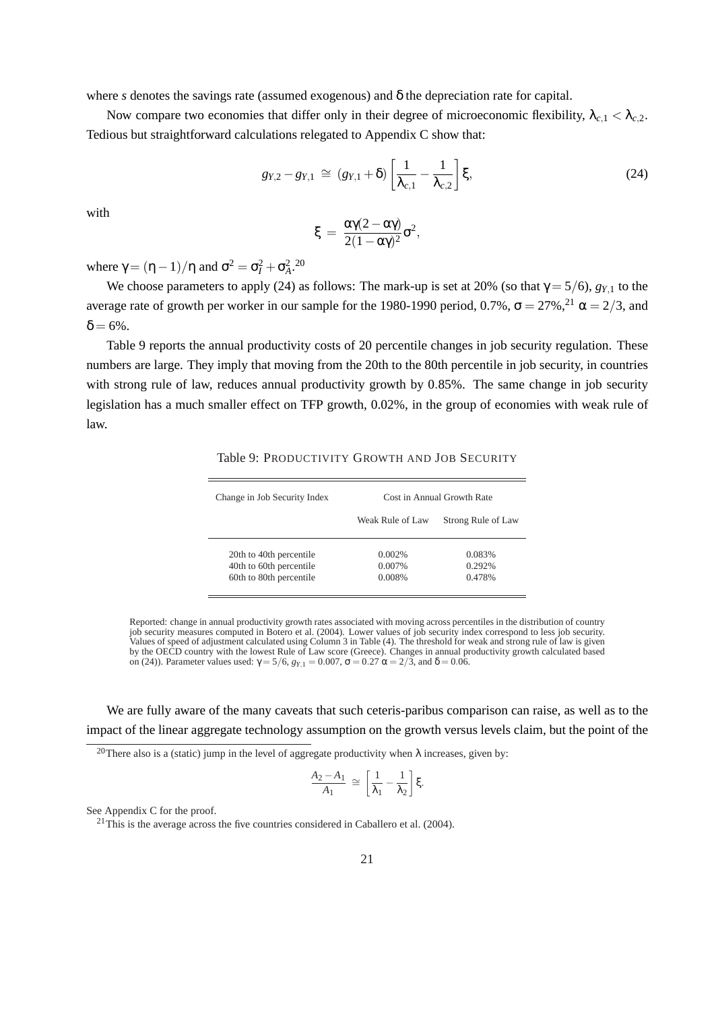where *s* denotes the savings rate (assumed exogenous) and δ the depreciation rate for capital.

Now compare two economies that differ only in their degree of microeconomic flexibility,  $\lambda_{c,1} < \lambda_{c,2}$ . Tedious but straightforward calculations relegated to Appendix C show that:

$$
g_{Y,2} - g_{Y,1} \cong (g_{Y,1} + \delta) \left[ \frac{1}{\lambda_{c,1}} - \frac{1}{\lambda_{c,2}} \right] \xi,
$$
 (24)

with

$$
\xi\,=\,\frac{\alpha\gamma(2-\alpha\gamma)}{2(1-\alpha\gamma)^2}\sigma^2,
$$

where  $\gamma = (\eta - 1)/\eta$  and  $\sigma^2 = \sigma_I^2 + \sigma_A^2$ .<sup>20</sup>

We choose parameters to apply (24) as follows: The mark-up is set at 20% (so that  $\gamma = 5/6$ ),  $g_{\gamma,1}$  to the average rate of growth per worker in our sample for the 1980-1990 period, 0.7%,  $\sigma = 27\%$ ,  $^{21}$   $\alpha = 2/3$ , and  $\delta = 6\%$ .

Table 9 reports the annual productivity costs of 20 percentile changes in job security regulation. These numbers are large. They imply that moving from the 20th to the 80th percentile in job security, in countries with strong rule of law, reduces annual productivity growth by 0.85%. The same change in job security legislation has a much smaller effect on TFP growth, 0.02%, in the group of economies with weak rule of law.

| Change in Job Security Index | Cost in Annual Growth Rate |                    |  |  |  |
|------------------------------|----------------------------|--------------------|--|--|--|
|                              | Weak Rule of Law           | Strong Rule of Law |  |  |  |
| 20th to 40th percentile      | $0.002\%$                  | 0.083%             |  |  |  |
| 40th to 60th percentile      | 0.007%                     | 0.292%             |  |  |  |
| 60th to 80th percentile      | 0.008%                     | 0.478%             |  |  |  |

Table 9: PRODUCTIVITY GROWTH AND JOB SECURITY

Reported: change in annual productivity growth rates associated with moving across percentiles in the distribution of country job security measures computed in Botero et al. (2004). Lower values of job security index correspond to less job security. Values of speed of adjustment calculated using Column 3 in Table (4). The threshold for weak and strong rule of law is given by the OECD country with the lowest Rule of Law score (Greece). Changes in annual productivity growth calculated based on (24)). Parameter values used:  $\gamma = 5/6$ ,  $g_{Y,1} = 0.007$ ,  $\sigma = 0.27$  α = 2/3, and δ = 0.06.

We are fully aware of the many caveats that such ceteris-paribus comparison can raise, as well as to the impact of the linear aggregate technology assumption on the growth versus levels claim, but the point of the

<sup>20</sup>There also is a (static) jump in the level of aggregate productivity when  $\lambda$  increases, given by:

$$
\frac{A_2 - A_1}{A_1} \cong \left[\frac{1}{\lambda_1} - \frac{1}{\lambda_2}\right]\xi.
$$

See Appendix C for the proof.

 $21$ This is the average across the five countries considered in Caballero et al. (2004).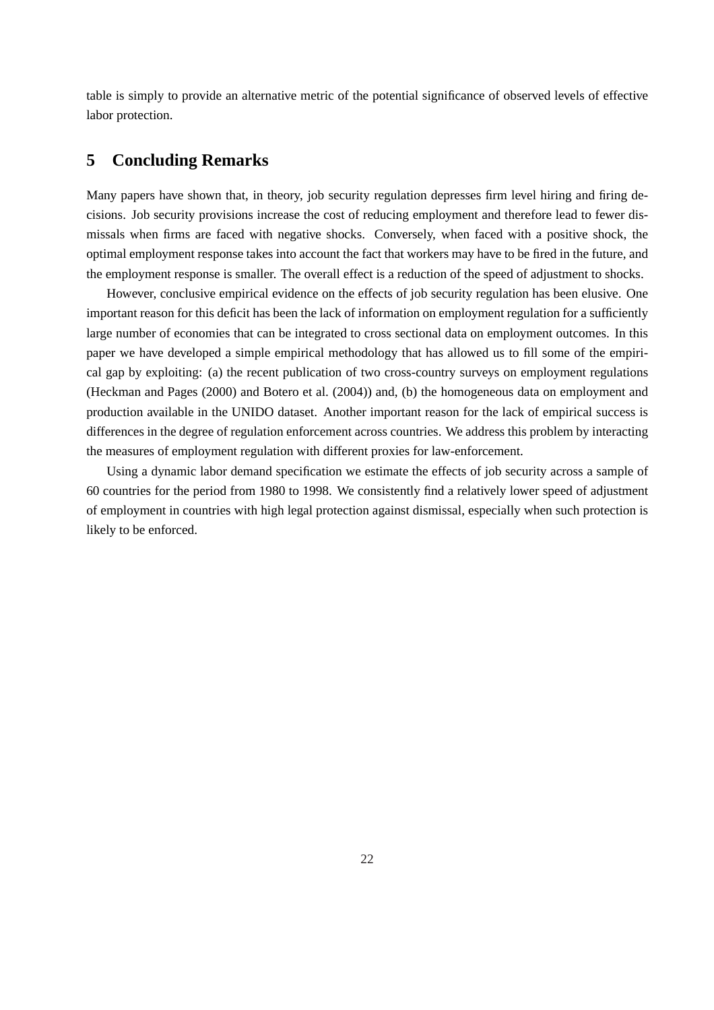table is simply to provide an alternative metric of the potential significance of observed levels of effective labor protection.

# **5 Concluding Remarks**

Many papers have shown that, in theory, job security regulation depresses firm level hiring and firing decisions. Job security provisions increase the cost of reducing employment and therefore lead to fewer dismissals when firms are faced with negative shocks. Conversely, when faced with a positive shock, the optimal employment response takes into account the fact that workers may have to be fired in the future, and the employment response is smaller. The overall effect is a reduction of the speed of adjustment to shocks.

However, conclusive empirical evidence on the effects of job security regulation has been elusive. One important reason for this deficit has been the lack of information on employment regulation for a sufficiently large number of economies that can be integrated to cross sectional data on employment outcomes. In this paper we have developed a simple empirical methodology that has allowed us to fill some of the empirical gap by exploiting: (a) the recent publication of two cross-country surveys on employment regulations (Heckman and Pages (2000) and Botero et al. (2004)) and, (b) the homogeneous data on employment and production available in the UNIDO dataset. Another important reason for the lack of empirical success is differences in the degree of regulation enforcement across countries. We address this problem by interacting the measures of employment regulation with different proxies for law-enforcement.

Using a dynamic labor demand specification we estimate the effects of job security across a sample of 60 countries for the period from 1980 to 1998. We consistently find a relatively lower speed of adjustment of employment in countries with high legal protection against dismissal, especially when such protection is likely to be enforced.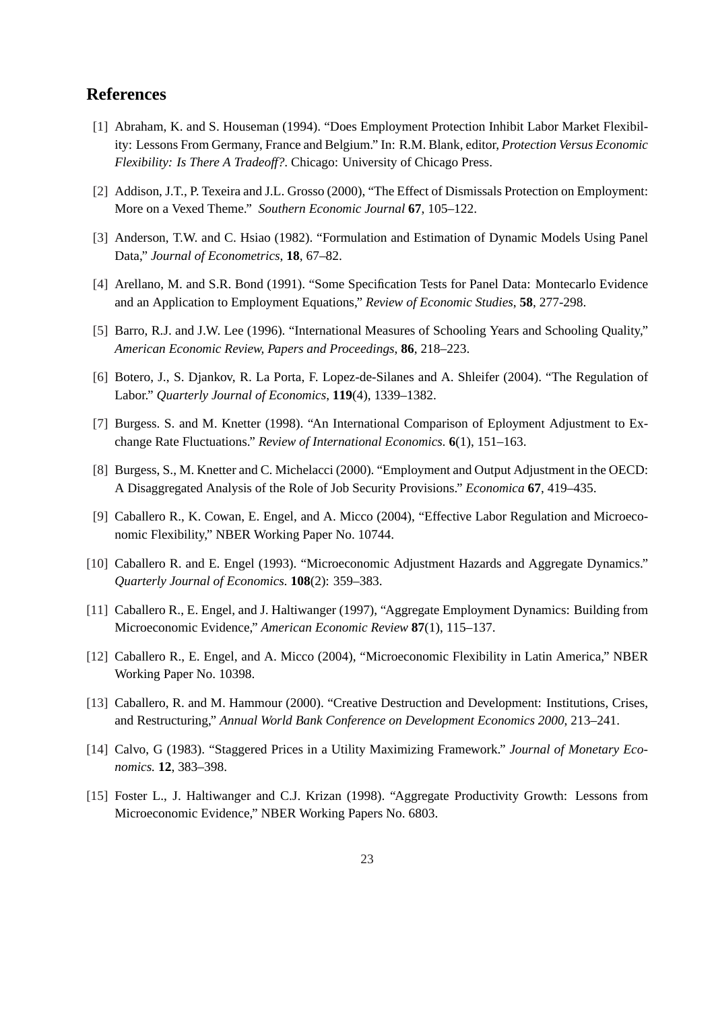# **References**

- [1] Abraham, K. and S. Houseman (1994). "Does Employment Protection Inhibit Labor Market Flexibility: Lessons From Germany, France and Belgium." In: R.M. Blank, editor, *Protection Versus Economic Flexibility: Is There A Tradeoff?*. Chicago: University of Chicago Press.
- [2] Addison, J.T., P. Texeira and J.L. Grosso (2000), "The Effect of Dismissals Protection on Employment: More on a Vexed Theme." *Southern Economic Journal* **67**, 105–122.
- [3] Anderson, T.W. and C. Hsiao (1982). "Formulation and Estimation of Dynamic Models Using Panel Data," *Journal of Econometrics*, **18**, 67–82.
- [4] Arellano, M. and S.R. Bond (1991). "Some Specification Tests for Panel Data: Montecarlo Evidence and an Application to Employment Equations," *Review of Economic Studies*, **58**, 277-298.
- [5] Barro, R.J. and J.W. Lee (1996). "International Measures of Schooling Years and Schooling Quality," *American Economic Review, Papers and Proceedings*, **86**, 218–223.
- [6] Botero, J., S. Djankov, R. La Porta, F. Lopez-de-Silanes and A. Shleifer (2004). "The Regulation of Labor." *Quarterly Journal of Economics*, **119**(4), 1339–1382.
- [7] Burgess. S. and M. Knetter (1998). "An International Comparison of Eployment Adjustment to Exchange Rate Fluctuations." *Review of International Economics.* **6**(1), 151–163.
- [8] Burgess, S., M. Knetter and C. Michelacci (2000). "Employment and Output Adjustment in the OECD: A Disaggregated Analysis of the Role of Job Security Provisions." *Economica* **67**, 419–435.
- [9] Caballero R., K. Cowan, E. Engel, and A. Micco (2004), "Effective Labor Regulation and Microeconomic Flexibility," NBER Working Paper No. 10744.
- [10] Caballero R. and E. Engel (1993). "Microeconomic Adjustment Hazards and Aggregate Dynamics." *Quarterly Journal of Economics.* **108**(2): 359–383.
- [11] Caballero R., E. Engel, and J. Haltiwanger (1997), "Aggregate Employment Dynamics: Building from Microeconomic Evidence," *American Economic Review* **87**(1), 115–137.
- [12] Caballero R., E. Engel, and A. Micco (2004), "Microeconomic Flexibility in Latin America," NBER Working Paper No. 10398.
- [13] Caballero, R. and M. Hammour (2000). "Creative Destruction and Development: Institutions, Crises, and Restructuring," *Annual World Bank Conference on Development Economics 2000*, 213–241.
- [14] Calvo, G (1983). "Staggered Prices in a Utility Maximizing Framework." *Journal of Monetary Economics.* **12**, 383–398.
- [15] Foster L., J. Haltiwanger and C.J. Krizan (1998). "Aggregate Productivity Growth: Lessons from Microeconomic Evidence," NBER Working Papers No. 6803.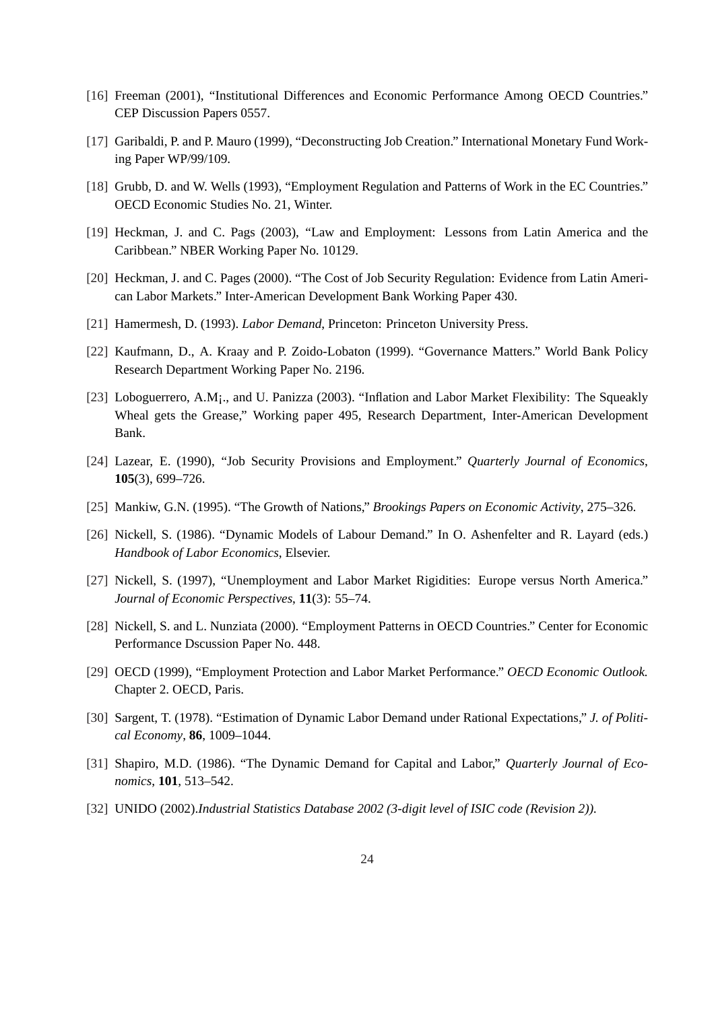- [16] Freeman (2001), "Institutional Differences and Economic Performance Among OECD Countries." CEP Discussion Papers 0557.
- [17] Garibaldi, P. and P. Mauro (1999), "Deconstructing Job Creation." International Monetary Fund Working Paper WP/99/109.
- [18] Grubb, D. and W. Wells (1993), "Employment Regulation and Patterns of Work in the EC Countries." OECD Economic Studies No. 21, Winter.
- [19] Heckman, J. and C. Pags (2003), "Law and Employment: Lessons from Latin America and the Caribbean." NBER Working Paper No. 10129.
- [20] Heckman, J. and C. Pages (2000). "The Cost of Job Security Regulation: Evidence from Latin American Labor Markets." Inter-American Development Bank Working Paper 430.
- [21] Hamermesh, D. (1993). *Labor Demand*, Princeton: Princeton University Press.
- [22] Kaufmann, D., A. Kraay and P. Zoido-Lobaton (1999). "Governance Matters." World Bank Policy Research Department Working Paper No. 2196.
- [23] Loboguerrero, A.M¡., and U. Panizza (2003). "Inflation and Labor Market Flexibility: The Squeakly Wheal gets the Grease," Working paper 495, Research Department, Inter-American Development Bank.
- [24] Lazear, E. (1990), "Job Security Provisions and Employment." *Quarterly Journal of Economics*, **105**(3), 699–726.
- [25] Mankiw, G.N. (1995). "The Growth of Nations," *Brookings Papers on Economic Activity*, 275–326.
- [26] Nickell, S. (1986). "Dynamic Models of Labour Demand." In O. Ashenfelter and R. Layard (eds.) *Handbook of Labor Economics*, Elsevier.
- [27] Nickell, S. (1997), "Unemployment and Labor Market Rigidities: Europe versus North America." *Journal of Economic Perspectives*, **11**(3): 55–74.
- [28] Nickell, S. and L. Nunziata (2000). "Employment Patterns in OECD Countries." Center for Economic Performance Dscussion Paper No. 448.
- [29] OECD (1999), "Employment Protection and Labor Market Performance." *OECD Economic Outlook.* Chapter 2. OECD, Paris.
- [30] Sargent, T. (1978). "Estimation of Dynamic Labor Demand under Rational Expectations," *J. of Political Economy*, **86**, 1009–1044.
- [31] Shapiro, M.D. (1986). "The Dynamic Demand for Capital and Labor," *Quarterly Journal of Economics*, **101**, 513–542.
- [32] UNIDO (2002).*Industrial Statistics Database 2002 (3-digit level of ISIC code (Revision 2)).*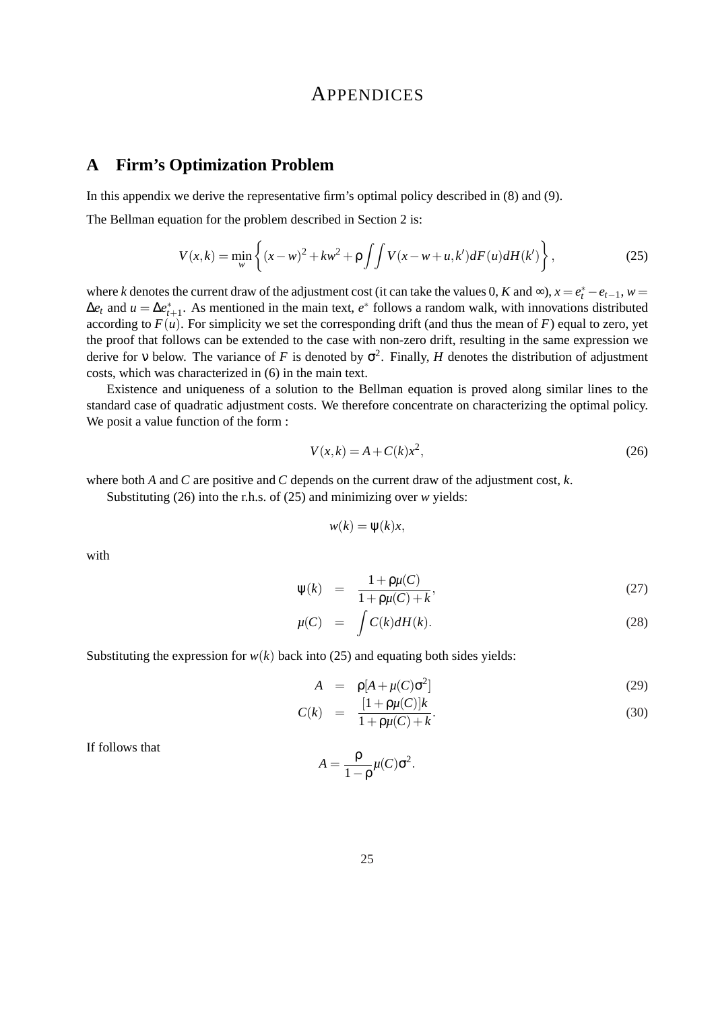# **APPENDICES**

# **A Firm's Optimization Problem**

In this appendix we derive the representative firm's optimal policy described in (8) and (9).

The Bellman equation for the problem described in Section 2 is:

$$
V(x,k) = \min_{w} \left\{ (x-w)^2 + kw^2 + \rho \int \int V(x-w+u,k')dF(u)dH(k') \right\},
$$
 (25)

where *k* denotes the current draw of the adjustment cost (it can take the values 0, *K* and ∞),  $x = e_t^* - e_{t-1}$ ,  $w =$  $\Delta e_t$  and  $u = \Delta e_{t+1}^*$ . As mentioned in the main text,  $e^*$  follows a random walk, with innovations distributed according to  $F(u)$ . For simplicity we set the corresponding drift (and thus the mean of  $F$ ) equal to zero, yet the proof that follows can be extended to the case with non-zero drift, resulting in the same expression we derive for v below. The variance of *F* is denoted by  $\sigma^2$ . Finally, *H* denotes the distribution of adjustment costs, which was characterized in (6) in the main text.

Existence and uniqueness of a solution to the Bellman equation is proved along similar lines to the standard case of quadratic adjustment costs. We therefore concentrate on characterizing the optimal policy. We posit a value function of the form :

$$
V(x,k) = A + C(k)x^2,
$$
\n<sup>(26)</sup>

where both *A* and *C* are positive and *C* depends on the current draw of the adjustment cost, *k*.

Substituting (26) into the r.h.s. of (25) and minimizing over *w* yields:

$$
w(k) = \psi(k)x,
$$

with

$$
\psi(k) = \frac{1 + \rho\mu(C)}{1 + \rho\mu(C) + k},\tag{27}
$$

$$
\mu(C) = \int C(k) dH(k). \tag{28}
$$

Substituting the expression for  $w(k)$  back into (25) and equating both sides yields:

$$
A = \rho[A + \mu(C)\sigma^2]
$$
 (29)

$$
C(k) = \frac{[1 + \rho\mu(C)]k}{1 + \rho\mu(C) + k}.
$$
\n(30)

If follows that

$$
A = \frac{\rho}{1 - \rho} \mu(C) \sigma^2.
$$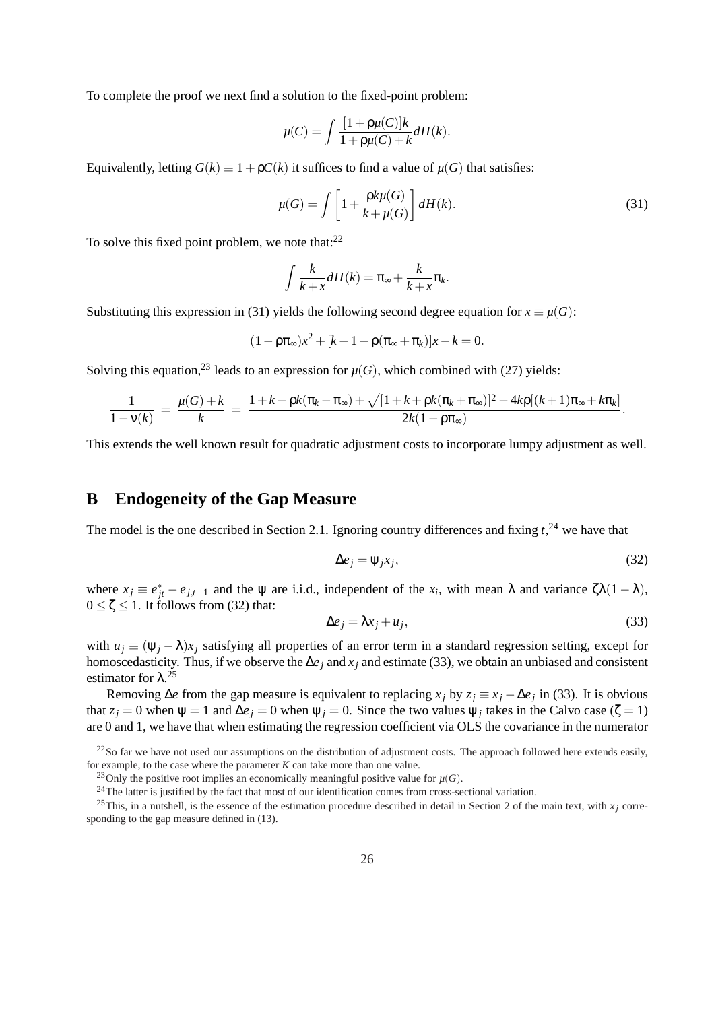To complete the proof we next find a solution to the fixed-point problem:

$$
\mu(C) = \int \frac{[1 + \rho\mu(C)]k}{1 + \rho\mu(C) + k} dH(k).
$$

Equivalently, letting  $G(k) \equiv 1 + \rho C(k)$  it suffices to find a value of  $\mu(G)$  that satisfies:

$$
\mu(G) = \int \left[ 1 + \frac{\rho k \mu(G)}{k + \mu(G)} \right] dH(k). \tag{31}
$$

To solve this fixed point problem, we note that: $^{22}$ 

$$
\int \frac{k}{k+x} dH(k) = \pi_{\infty} + \frac{k}{k+x} \pi_k.
$$

Substituting this expression in (31) yields the following second degree equation for  $x \equiv \mu(G)$ :

$$
(1 - \rho \pi_{\infty})x^2 + [k - 1 - \rho(\pi_{\infty} + \pi_k)]x - k = 0.
$$

Solving this equation,<sup>23</sup> leads to an expression for  $\mu(G)$ , which combined with (27) yields:

$$
\frac{1}{1-v(k)} = \frac{\mu(G)+k}{k} = \frac{1+k + \rho k(\pi_k - \pi_\infty) + \sqrt{[1+k + \rho k(\pi_k + \pi_\infty)]^2 - 4k\rho[(k+1)\pi_\infty + k\pi_k]}}{2k(1-\rho\pi_\infty)}.
$$

This extends the well known result for quadratic adjustment costs to incorporate lumpy adjustment as well.

# **B Endogeneity of the Gap Measure**

The model is the one described in Section 2.1. Ignoring country differences and fixing  $t<sub>1</sub><sup>24</sup>$  we have that

$$
\Delta e_j = \Psi_j x_j,\tag{32}
$$

where  $x_j \equiv e_{jt}^* - e_{j,t-1}$  and the  $\psi$  are i.i.d., independent of the  $x_i$ , with mean  $\lambda$  and variance  $\zeta \lambda (1 - \lambda)$ ,  $0 \le \zeta \le 1$ . It follows from (32) that:

$$
\Delta e_j = \lambda x_j + u_j,\tag{33}
$$

with  $u_j \equiv (\psi_j - \lambda)x_j$  satisfying all properties of an error term in a standard regression setting, except for homoscedasticity. Thus, if we observe the ∆*e<sup>j</sup>* and *x<sup>j</sup>* and estimate (33), we obtain an unbiased and consistent estimator for  $\lambda$ <sup>25</sup>

Removing  $\Delta e$  from the gap measure is equivalent to replacing  $x_j$  by  $z_j \equiv x_j - \Delta e_j$  in (33). It is obvious that  $z_j = 0$  when  $\psi = 1$  and  $\Delta e_j = 0$  when  $\psi_j = 0$ . Since the two values  $\psi_j$  takes in the Calvo case ( $\zeta = 1$ ) are 0 and 1, we have that when estimating the regression coefficient via OLS the covariance in the numerator

 $22$ So far we have not used our assumptions on the distribution of adjustment costs. The approach followed here extends easily, for example, to the case where the parameter *K* can take more than one value.

<sup>&</sup>lt;sup>23</sup>Only the positive root implies an economically meaningful positive value for  $\mu(G)$ .

<sup>&</sup>lt;sup>24</sup>The latter is justified by the fact that most of our identification comes from cross-sectional variation.

<sup>&</sup>lt;sup>25</sup>This, in a nutshell, is the essence of the estimation procedure described in detail in Section 2 of the main text, with  $x_i$  corresponding to the gap measure defined in (13).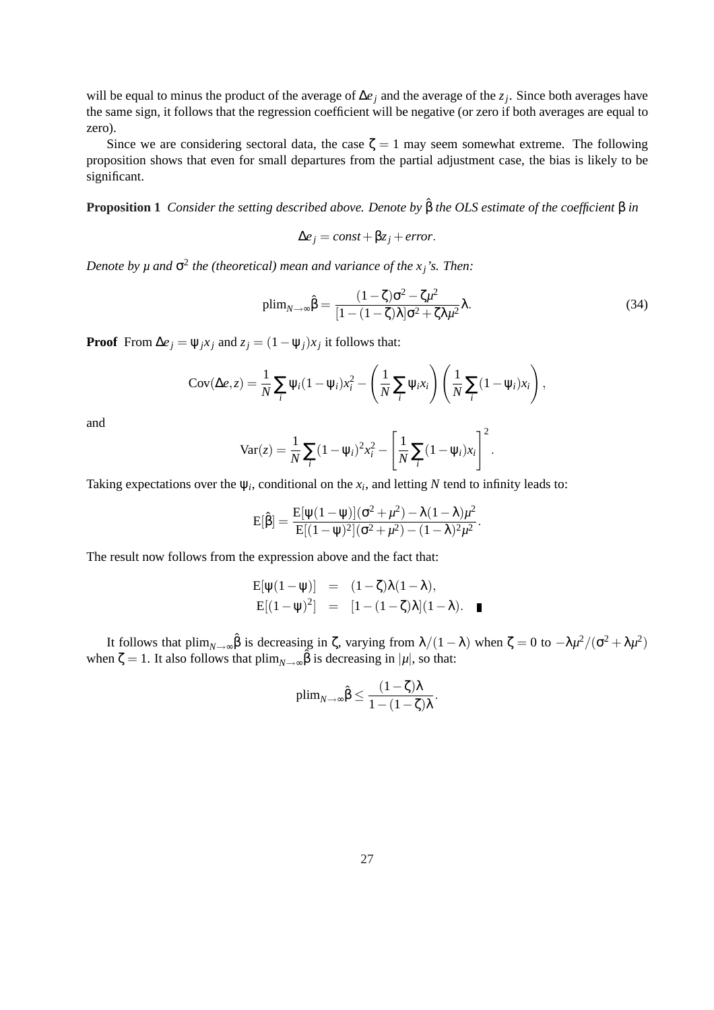will be equal to minus the product of the average of ∆*e<sup>j</sup>* and the average of the *z<sup>j</sup>* . Since both averages have the same sign, it follows that the regression coefficient will be negative (or zero if both averages are equal to zero).

Since we are considering sectoral data, the case  $\zeta = 1$  may seem somewhat extreme. The following proposition shows that even for small departures from the partial adjustment case, the bias is likely to be significant.

**Proposition 1** *Consider the setting described above. Denote by*  $\hat{\beta}$  *the OLS estimate of the coefficient* β *in* 

$$
\Delta e_j = const + \beta z_j + error.
$$

*Denote by*  $\mu$  *and*  $\sigma^2$  *the (theoretical) mean and variance of the*  $x_j$ *'s. Then:* 

$$
\text{plim}_{N \to \infty} \hat{\beta} = \frac{(1 - \zeta)\sigma^2 - \zeta\mu^2}{[1 - (1 - \zeta)\lambda]\sigma^2 + \zeta\lambda\mu^2} \lambda. \tag{34}
$$

**Proof** From  $\Delta e_j = \psi_j x_j$  and  $z_j = (1 - \psi_j) x_j$  it follows that:

$$
Cov(\Delta e, z) = \frac{1}{N} \sum_{i} \psi_i (1 - \psi_i) x_i^2 - \left(\frac{1}{N} \sum_{i} \psi_i x_i\right) \left(\frac{1}{N} \sum_{i} (1 - \psi_i) x_i\right),
$$

and

$$
Var(z) = \frac{1}{N} \sum_{i} (1 - \psi_i)^2 x_i^2 - \left[ \frac{1}{N} \sum_{i} (1 - \psi_i) x_i \right]^2.
$$

Taking expectations over the  $\psi_i$ , conditional on the  $x_i$ , and letting N tend to infinity leads to:

$$
E[\hat{\beta}] = \frac{E[\psi(1-\psi)](\sigma^2 + \mu^2) - \lambda(1-\lambda)\mu^2}{E[(1-\psi)^2](\sigma^2 + \mu^2) - (1-\lambda)^2\mu^2}.
$$

The result now follows from the expression above and the fact that:

$$
E[\psi(1-\psi)] = (1-\zeta)\lambda(1-\lambda),
$$
  
\n
$$
E[(1-\psi)^2] = [1-(1-\zeta)\lambda](1-\lambda).
$$

It follows that plim<sub>*N*→∞</sub> $\hat{\beta}$  is decreasing in  $\zeta$ , varying from  $\lambda/(1-\lambda)$  when  $\zeta = 0$  to  $-\lambda\mu^2/(\sigma^2 + \lambda\mu^2)$ when  $\zeta = 1$ . It also follows that plim<sub>*N*→∞</sub> $\hat{\beta}$  is decreasing in |*µ*|, so that:

$$
\mathrm{plim}_{N\to\infty}\hat{\beta}\leq \frac{(1-\zeta)\lambda}{1-(1-\zeta)\lambda}.
$$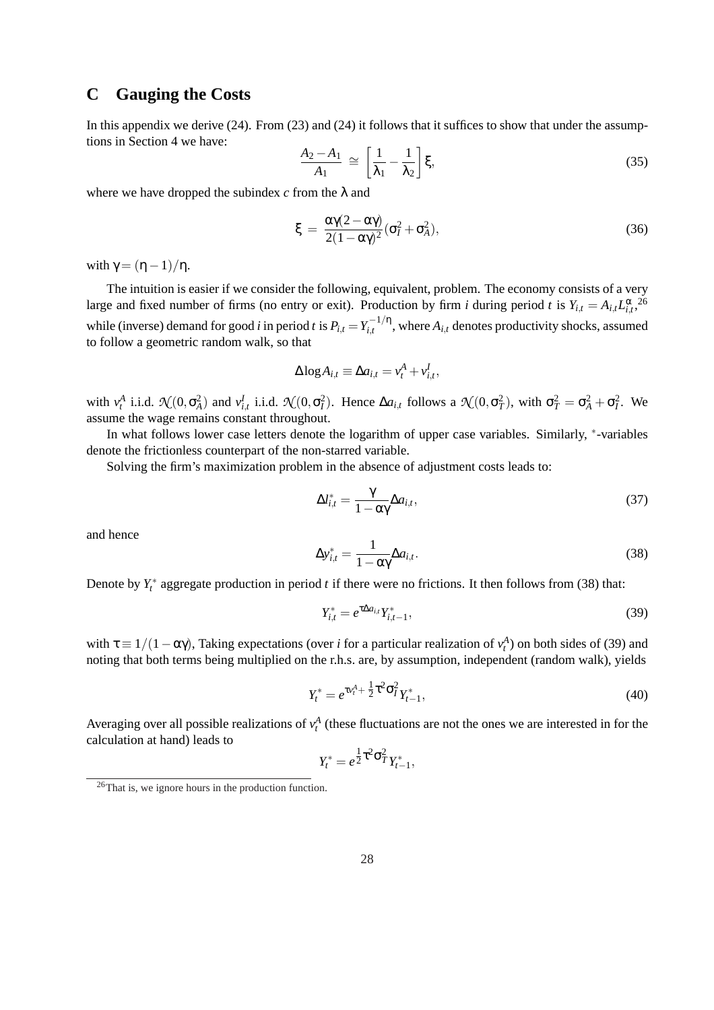# **C Gauging the Costs**

In this appendix we derive (24). From (23) and (24) it follows that it suffices to show that under the assumptions in Section 4 we have: ·  $\overline{a}$ 

$$
\frac{A_2 - A_1}{A_1} \cong \left[\frac{1}{\lambda_1} - \frac{1}{\lambda_2}\right] \xi,
$$
\n(35)

where we have dropped the subindex  $c$  from the  $\lambda$  and

$$
\xi = \frac{\alpha \gamma (2 - \alpha \gamma)}{2(1 - \alpha \gamma)^2} (\sigma_I^2 + \sigma_A^2),\tag{36}
$$

with  $\gamma = (\eta - 1)/\eta$ .

The intuition is easier if we consider the following, equivalent, problem. The economy consists of a very large and fixed number of firms (no entry or exit). Production by firm *i* during period *t* is  $Y_{i,t} = A_{i,t} L_{i,t}^{\alpha}$ ,  $26$ while (inverse) demand for good *i* in period *t* is  $P_{i,t} = Y_{i,t}^{-1/\eta}$  $\sum_{i,t}$ <sup> $\left\lfloor t \right\rfloor$ </sup>, where  $A_{i,t}$  denotes productivity shocks, assumed to follow a geometric random walk, so that

$$
\Delta \log A_{i,t} \equiv \Delta a_{i,t} = v_t^A + v_{i,t}^I,
$$

with  $v_t^A$  i.i.d.  $\mathcal{N}(0, \sigma_A^2)$  and  $v_{i,t}^I$  i.i.d.  $\mathcal{N}(0, \sigma_I^2)$ . Hence  $\Delta a_{i,t}$  follows a  $\mathcal{N}(0, \sigma_T^2)$ , with  $\sigma_T^2 = \sigma_A^2 + \sigma_I^2$ . We assume the wage remains constant throughout.

In what follows lower case letters denote the logarithm of upper case variables. Similarly, \*-variables denote the frictionless counterpart of the non-starred variable.

Solving the firm's maximization problem in the absence of adjustment costs leads to:

$$
\Delta l_{i,t}^* = \frac{\gamma}{1 - \alpha \gamma} \Delta a_{i,t},\tag{37}
$$

and hence

$$
\Delta y_{i,t}^* = \frac{1}{1 - \alpha \gamma} \Delta a_{i,t}.
$$
\n(38)

Denote by  $Y_t^*$  aggregate production in period *t* if there were no frictions. It then follows from (38) that:

$$
Y_{i,t}^* = e^{\tau \Delta a_{i,t}} Y_{i,t-1}^*,\tag{39}
$$

with  $\tau \equiv 1/(1 - \alpha \gamma)$ , Taking expectations (over *i* for a particular realization of  $v_t^A$ ) on both sides of (39) and noting that both terms being multiplied on the r.h.s. are, by assumption, independent (random walk), yields

$$
Y_t^* = e^{\tau v_t^A + \frac{1}{2}\tau^2 \sigma_t^2} Y_{t-1}^*,\tag{40}
$$

Averaging over all possible realizations of  $v_t^A$  (these fluctuations are not the ones we are interested in for the calculation at hand) leads to

$$
Y_t^* = e^{\frac{1}{2}\tau^2 \sigma_T^2} Y_{t-1}^*,
$$

<sup>26</sup>That is, we ignore hours in the production function.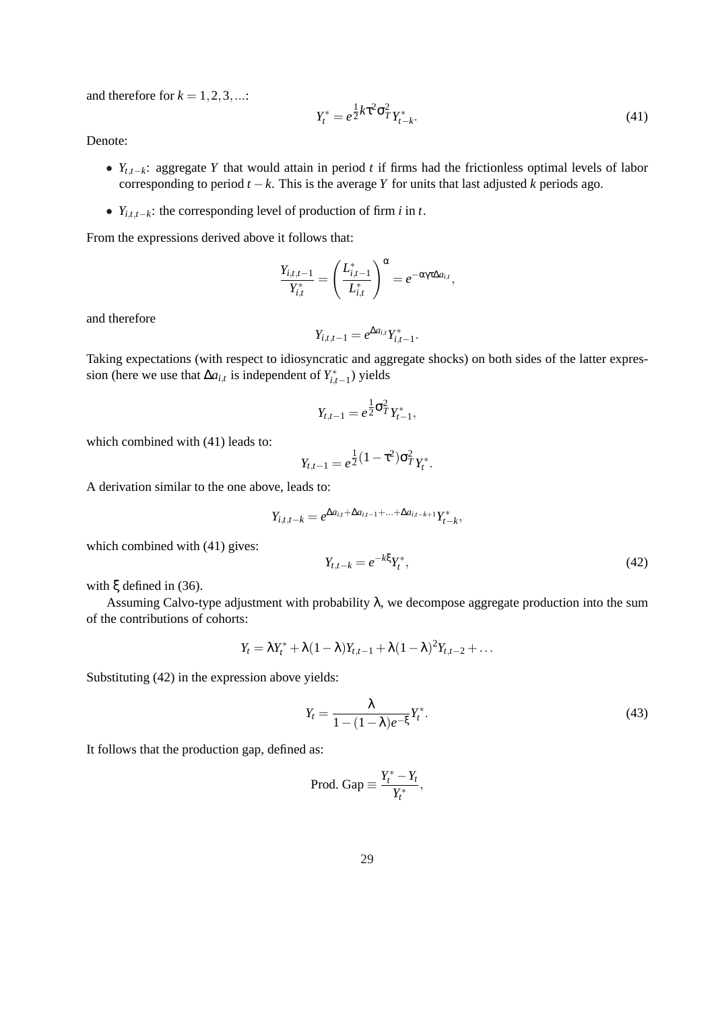and therefore for  $k = 1, 2, 3, \dots$ :

$$
Y_t^* = e^{\frac{1}{2}k\tau^2 \sigma_T^2} Y_{t-k}^*.
$$
\n(41)

Denote:

- *Yt*,*t*−*k*: aggregate *Y* that would attain in period *t* if firms had the frictionless optimal levels of labor corresponding to period  $t - k$ . This is the average *Y* for units that last adjusted *k* periods ago.
- $Y_{i,t,t-k}$ : the corresponding level of production of firm *i* in *t*.

From the expressions derived above it follows that:

$$
\frac{Y_{i,t,t-1}}{Y_{i,t}^*} = \left(\frac{L_{i,t-1}^*}{L_{i,t}^*}\right)^{\alpha} = e^{-\alpha \gamma \tau \Delta a_{i,t}},
$$

and therefore

$$
Y_{i,t,t-1} = e^{\Delta a_{i,t}} Y_{i,t-1}^*.
$$

Taking expectations (with respect to idiosyncratic and aggregate shocks) on both sides of the latter expression (here we use that  $\Delta a_{i,t}$  is independent of  $Y^*_{i,t-1}$ ) yields

$$
Y_{t,t-1}=e^{\frac{1}{2}\sigma_T^2}Y_{t-1}^*,
$$

which combined with (41) leads to:

$$
Y_{t,t-1} = e^{\frac{1}{2}(1-\tau^2)\sigma_T^2}Y_t^*.
$$

A derivation similar to the one above, leads to:

$$
Y_{i,t,t-k} = e^{\Delta a_{i,t} + \Delta a_{i,t-1} + \ldots + \Delta a_{i,t-k+1}} Y_{t-k}^*,
$$

which combined with  $(41)$  gives:

$$
Y_{t,t-k} = e^{-k\xi} Y_t^*,\tag{42}
$$

with ξ defined in (36).

Assuming Calvo-type adjustment with probability  $\lambda$ , we decompose aggregate production into the sum of the contributions of cohorts:

$$
Y_t = \lambda Y_t^* + \lambda (1-\lambda) Y_{t,t-1} + \lambda (1-\lambda)^2 Y_{t,t-2} + \ldots
$$

Substituting (42) in the expression above yields:

$$
Y_t = \frac{\lambda}{1 - (1 - \lambda)e^{-\xi}} Y_t^*.
$$
\n(43)

It follows that the production gap, defined as:

$$
Prod. Gap \equiv \frac{Y_t^*-Y_t}{Y_t^*},
$$